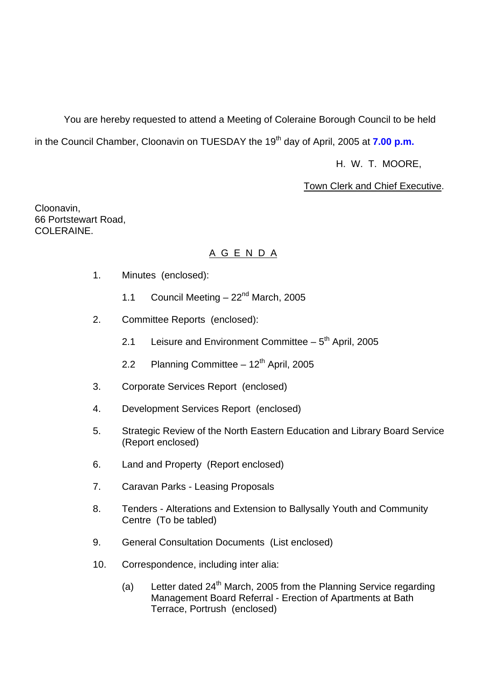You are hereby requested to attend a Meeting of Coleraine Borough Council to be held in the Council Chamber, Cloonavin on TUESDAY the 19<sup>th</sup> day of April, 2005 at **7.00 p.m.** 

H. W. T. MOORE,

# Town Clerk and Chief Executive.

Cloonavin, 66 Portstewart Road, COLERAINE.

# A G E N D A

- 1. Minutes (enclosed):
	- 1.1 Council Meeting  $-22<sup>nd</sup>$  March, 2005
- 2. Committee Reports (enclosed):
	- 2.1 Leisure and Environment Committee  $-5<sup>th</sup>$  April, 2005
	- 2.2 Planning Committee  $-12<sup>th</sup>$  April, 2005
- 3. Corporate Services Report (enclosed)
- 4. Development Services Report (enclosed)
- 5. Strategic Review of the North Eastern Education and Library Board Service (Report enclosed)
- 6. Land and Property (Report enclosed)
- 7. Caravan Parks Leasing Proposals
- 8. Tenders Alterations and Extension to Ballysally Youth and Community Centre (To be tabled)
- 9. General Consultation Documents (List enclosed)
- 10. Correspondence, including inter alia:
	- (a) Letter dated  $24<sup>th</sup>$  March, 2005 from the Planning Service regarding Management Board Referral - Erection of Apartments at Bath Terrace, Portrush (enclosed)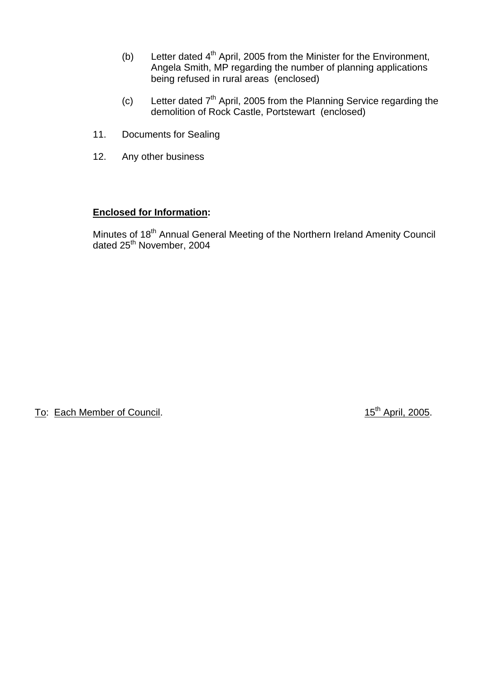- (b) Letter dated  $4<sup>th</sup>$  April, 2005 from the Minister for the Environment, Angela Smith, MP regarding the number of planning applications being refused in rural areas (enclosed)
- (c) Letter dated  $7<sup>th</sup>$  April, 2005 from the Planning Service regarding the demolition of Rock Castle, Portstewart (enclosed)
- 11. Documents for Sealing
- 12. Any other business

# **Enclosed for Information:**

Minutes of 18<sup>th</sup> Annual General Meeting of the Northern Ireland Amenity Council dated 25<sup>th</sup> November, 2004

To: Each Member of Council. 15<sup>th</sup> April, 2005.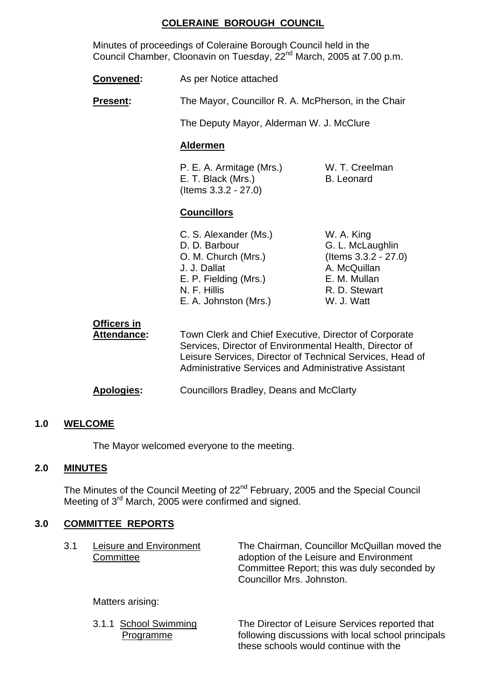# **COLERAINE BOROUGH COUNCIL**

 Minutes of proceedings of Coleraine Borough Council held in the Council Chamber, Cloonavin on Tuesday, 22<sup>nd</sup> March, 2005 at 7.00 p.m.

| <b>Convened:</b> | As per Notice attached |
|------------------|------------------------|
|------------------|------------------------|

**Present:** The Mayor, Councillor R. A. McPherson, in the Chair

The Deputy Mayor, Alderman W. J. McClure

#### **Aldermen**

P. E. A. Armitage (Mrs.) W. T. Creelman E. T. Black (Mrs.) B. Leonard (Items 3.3.2 - 27.0)

# **Councillors**

C. S. Alexander (Ms.) W. A. King D. D. Barbour G. L. McLaughlin O. M. Church (Mrs.) (Items 3.3.2 - 27.0) J. J. Dallat A. McQuillan E. P. Fielding (Mrs.) E. M. Mullan N. F. Hillis R. D. Stewart E. A. Johnston (Mrs.) W. J. Watt

 **Officers in Attendance:** Town Clerk and Chief Executive, Director of Corporate Services, Director of Environmental Health, Director of Leisure Services, Director of Technical Services, Head of Administrative Services and Administrative Assistant

**Apologies:** Councillors Bradley, Deans and McClarty

# **1.0 WELCOME**

The Mayor welcomed everyone to the meeting.

#### **2.0 MINUTES**

The Minutes of the Council Meeting of 22<sup>nd</sup> February, 2005 and the Special Council Meeting of 3<sup>rd</sup> March, 2005 were confirmed and signed.

# **3.0 COMMITTEE REPORTS**

| 3.1 | Leisure and Environment<br>Committee | The Chairman, Councillor McQuillan moved the<br>adoption of the Leisure and Environment<br>Committee Report; this was duly seconded by<br>Councillor Mrs. Johnston. |
|-----|--------------------------------------|---------------------------------------------------------------------------------------------------------------------------------------------------------------------|
|     | Matters arising:                     |                                                                                                                                                                     |
|     | 3.1.1 School Swimming                | The Director of Leisure Services reported that                                                                                                                      |

Programme following discussions with local school principals

these schools would continue with the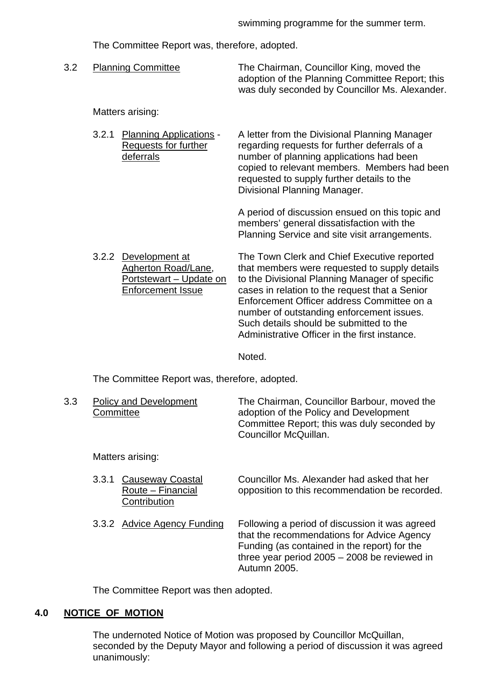The Committee Report was, therefore, adopted.

 3.2 Planning Committee The Chairman, Councillor King, moved the adoption of the Planning Committee Report; this was duly seconded by Councillor Ms. Alexander.

#### Matters arising:

3.2.1 Planning Applications - A letter from the Divisional Planning Manager Requests for further regarding requests for further deferrals of a deferrals number of planning applications had been copied to relevant members. Members had been requested to supply further details to the Divisional Planning Manager.

> A period of discussion ensued on this topic and members' general dissatisfaction with the Planning Service and site visit arrangements.

3.2.2 Development at The Town Clerk and Chief Executive reported

Agherton Road/Lane, that members were requested to supply details Portstewart – Update on to the Divisional Planning Manager of specific Enforcement Issue cases in relation to the request that a Senior Enforcement Officer address Committee on a number of outstanding enforcement issues. Such details should be submitted to the Administrative Officer in the first instance.

Noted.

The Committee Report was, therefore, adopted.

| 3.3 | <b>Policy and Development</b><br>Committee                     | The Chairman, Councillor Barbour, moved the<br>adoption of the Policy and Development<br>Committee Report; this was duly seconded by<br>Councillor McQuillan. |
|-----|----------------------------------------------------------------|---------------------------------------------------------------------------------------------------------------------------------------------------------------|
|     | Matters arising:                                               |                                                                                                                                                               |
|     | Causeway Coastal<br>3.3.1<br>Route – Financial<br>Contribution | Councillor Ms. Alexander had asked that her<br>opposition to this recommendation be recorded.                                                                 |
|     | 3.3.2 Advice Agency Funding                                    | Following a period of discussion it was agreed                                                                                                                |

 that the recommendations for Advice Agency Funding (as contained in the report) for the three year period 2005 – 2008 be reviewed in Autumn 2005.

The Committee Report was then adopted.

### **4.0 NOTICE OF MOTION**

 The undernoted Notice of Motion was proposed by Councillor McQuillan, seconded by the Deputy Mayor and following a period of discussion it was agreed unanimously: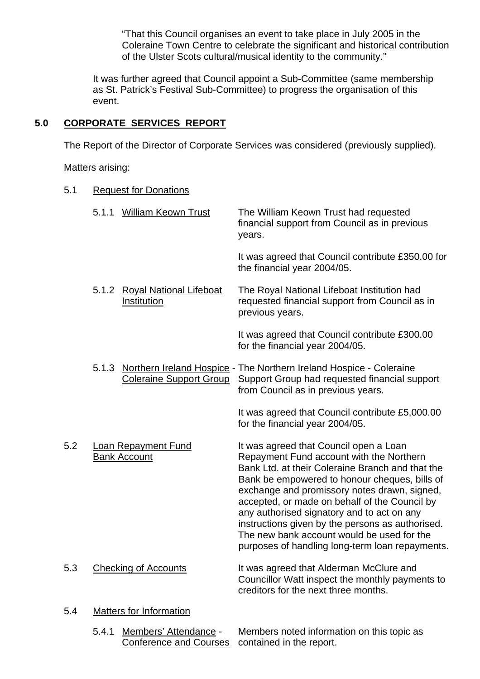"That this Council organises an event to take place in July 2005 in the Coleraine Town Centre to celebrate the significant and historical contribution of the Ulster Scots cultural/musical identity to the community."

 It was further agreed that Council appoint a Sub-Committee (same membership as St. Patrick's Festival Sub-Committee) to progress the organisation of this event.

# **5.0 CORPORATE SERVICES REPORT**

The Report of the Director of Corporate Services was considered (previously supplied).

Matters arising:

| 5.1 |       | <b>Request for Donations</b>                      |                                                                                                                                                                                                                                                                                                                                                                                                                                                                                             |
|-----|-------|---------------------------------------------------|---------------------------------------------------------------------------------------------------------------------------------------------------------------------------------------------------------------------------------------------------------------------------------------------------------------------------------------------------------------------------------------------------------------------------------------------------------------------------------------------|
|     | 5.1.1 | <b>William Keown Trust</b>                        | The William Keown Trust had requested<br>financial support from Council as in previous<br>years.                                                                                                                                                                                                                                                                                                                                                                                            |
|     |       |                                                   | It was agreed that Council contribute £350.00 for<br>the financial year 2004/05.                                                                                                                                                                                                                                                                                                                                                                                                            |
|     |       | 5.1.2 Royal National Lifeboat<br>Institution      | The Royal National Lifeboat Institution had<br>requested financial support from Council as in<br>previous years.                                                                                                                                                                                                                                                                                                                                                                            |
|     |       |                                                   | It was agreed that Council contribute £300.00<br>for the financial year 2004/05.                                                                                                                                                                                                                                                                                                                                                                                                            |
|     |       | <b>Coleraine Support Group</b>                    | 5.1.3 Northern Ireland Hospice - The Northern Ireland Hospice - Coleraine<br>Support Group had requested financial support<br>from Council as in previous years.                                                                                                                                                                                                                                                                                                                            |
|     |       |                                                   | It was agreed that Council contribute £5,000.00<br>for the financial year 2004/05.                                                                                                                                                                                                                                                                                                                                                                                                          |
| 5.2 |       | <b>Loan Repayment Fund</b><br><b>Bank Account</b> | It was agreed that Council open a Loan<br>Repayment Fund account with the Northern<br>Bank Ltd. at their Coleraine Branch and that the<br>Bank be empowered to honour cheques, bills of<br>exchange and promissory notes drawn, signed,<br>accepted, or made on behalf of the Council by<br>any authorised signatory and to act on any<br>instructions given by the persons as authorised.<br>The new bank account would be used for the<br>purposes of handling long-term loan repayments. |
| 5.3 |       | <b>Checking of Accounts</b>                       | It was agreed that Alderman McClure and<br>Councillor Watt inspect the monthly payments to<br>creditors for the next three months.                                                                                                                                                                                                                                                                                                                                                          |
| 5.4 |       | <b>Matters for Information</b>                    |                                                                                                                                                                                                                                                                                                                                                                                                                                                                                             |

# 5.4.1 Members' Attendance - Members noted information on this topic as Conference and Courses contained in the report.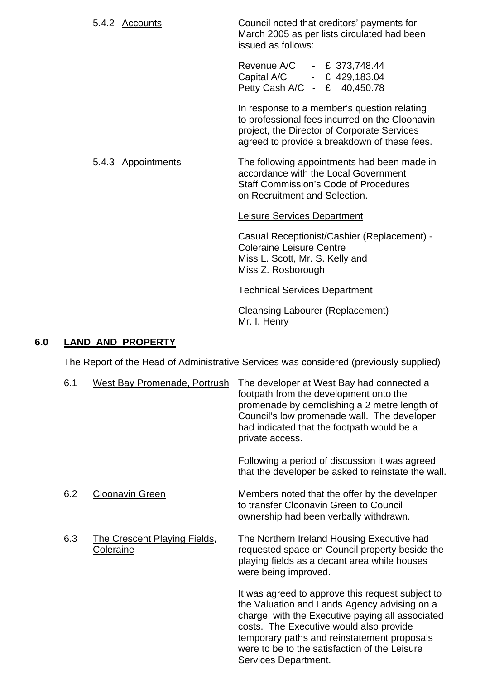5.4.2 Accounts Council noted that creditors' payments for March 2005 as per lists circulated had been issued as follows:

> Revenue A/C - £ 373,748.44 Capital A/C - £ 429,183.04 Petty Cash A/C - £ 40,450.78

 In response to a member's question relating to professional fees incurred on the Cloonavin project, the Director of Corporate Services agreed to provide a breakdown of these fees.

#### 5.4.3 Appointments The following appointments had been made in accordance with the Local Government Staff Commission's Code of Procedures on Recruitment and Selection.

#### Leisure Services Department

Casual Receptionist/Cashier (Replacement) - Coleraine Leisure Centre Miss L. Scott, Mr. S. Kelly and Miss Z. Rosborough

#### Technical Services Department

Cleansing Labourer (Replacement) Mr. I. Henry

## **6.0 LAND AND PROPERTY**

The Report of the Head of Administrative Services was considered (previously supplied)

| 6.1 | <b>West Bay Promenade, Portrush</b>                     | The developer at West Bay had connected a<br>footpath from the development onto the<br>promenade by demolishing a 2 metre length of<br>Council's low promenade wall. The developer<br>had indicated that the footpath would be a<br>private access.                                             |
|-----|---------------------------------------------------------|-------------------------------------------------------------------------------------------------------------------------------------------------------------------------------------------------------------------------------------------------------------------------------------------------|
|     |                                                         | Following a period of discussion it was agreed<br>that the developer be asked to reinstate the wall.                                                                                                                                                                                            |
| 6.2 | <b>Cloonavin Green</b>                                  | Members noted that the offer by the developer<br>to transfer Cloonavin Green to Council<br>ownership had been verbally withdrawn.                                                                                                                                                               |
| 6.3 | <b>The Crescent Playing Fields,</b><br><b>Coleraine</b> | The Northern Ireland Housing Executive had<br>requested space on Council property beside the<br>playing fields as a decant area while houses<br>were being improved.                                                                                                                            |
|     |                                                         | It was agreed to approve this request subject to<br>the Valuation and Lands Agency advising on a<br>charge, with the Executive paying all associated<br>costs. The Executive would also provide<br>temporary paths and reinstatement proposals<br>were to be to the satisfaction of the Leisure |

Services Department.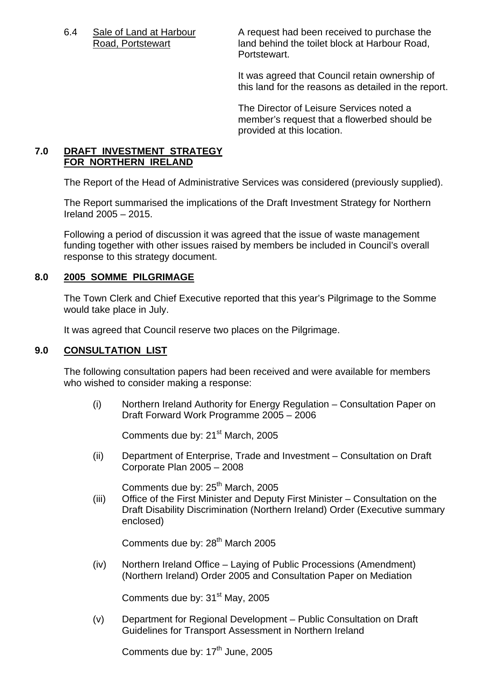6.4 Sale of Land at Harbour A request had been received to purchase the Road, Portstewart land behind the toilet block at Harbour Road, Portstewart.

> It was agreed that Council retain ownership of this land for the reasons as detailed in the report.

The Director of Leisure Services noted a member's request that a flowerbed should be provided at this location.

# **7.0 DRAFT INVESTMENT STRATEGY FOR NORTHERN IRELAND**

The Report of the Head of Administrative Services was considered (previously supplied).

The Report summarised the implications of the Draft Investment Strategy for Northern Ireland 2005 – 2015.

Following a period of discussion it was agreed that the issue of waste management funding together with other issues raised by members be included in Council's overall response to this strategy document.

# **8.0 2005 SOMME PILGRIMAGE**

 The Town Clerk and Chief Executive reported that this year's Pilgrimage to the Somme would take place in July.

It was agreed that Council reserve two places on the Pilgrimage.

#### **9.0 CONSULTATION LIST**

 The following consultation papers had been received and were available for members who wished to consider making a response:

(i) Northern Ireland Authority for Energy Regulation – Consultation Paper on Draft Forward Work Programme 2005 – 2006

Comments due by: 21<sup>st</sup> March, 2005

 (ii) Department of Enterprise, Trade and Investment – Consultation on Draft Corporate Plan 2005 – 2008

Comments due by:  $25<sup>th</sup>$  March, 2005

 (iii) Office of the First Minister and Deputy First Minister – Consultation on the Draft Disability Discrimination (Northern Ireland) Order (Executive summary enclosed)

Comments due by: 28<sup>th</sup> March 2005

 (iv) Northern Ireland Office – Laying of Public Processions (Amendment) (Northern Ireland) Order 2005 and Consultation Paper on Mediation

Comments due by: 31<sup>st</sup> May, 2005

 (v) Department for Regional Development – Public Consultation on Draft Guidelines for Transport Assessment in Northern Ireland

Comments due by: 17<sup>th</sup> June, 2005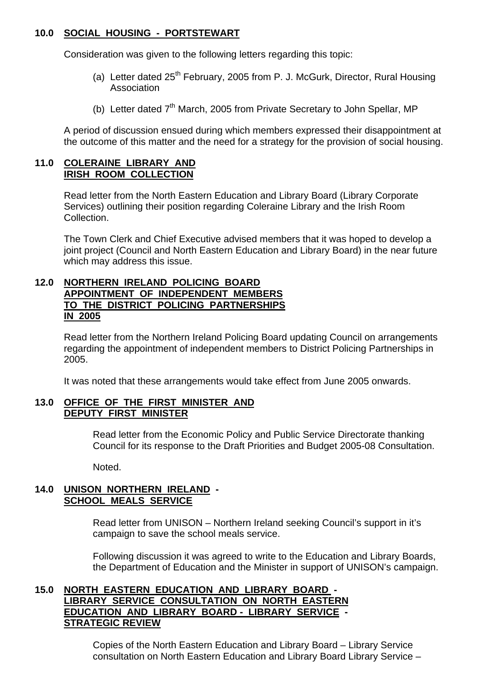# **10.0 SOCIAL HOUSING - PORTSTEWART**

Consideration was given to the following letters regarding this topic:

- (a) Letter dated  $25<sup>th</sup>$  February, 2005 from P. J. McGurk, Director, Rural Housing Association
- (b) Letter dated  $7<sup>th</sup>$  March, 2005 from Private Secretary to John Spellar, MP

 A period of discussion ensued during which members expressed their disappointment at the outcome of this matter and the need for a strategy for the provision of social housing.

#### **11.0 COLERAINE LIBRARY AND IRISH ROOM COLLECTION**

 Read letter from the North Eastern Education and Library Board (Library Corporate Services) outlining their position regarding Coleraine Library and the Irish Room Collection.

The Town Clerk and Chief Executive advised members that it was hoped to develop a joint project (Council and North Eastern Education and Library Board) in the near future which may address this issue.

#### **12.0 NORTHERN IRELAND POLICING BOARD APPOINTMENT OF INDEPENDENT MEMBERS TO THE DISTRICT POLICING PARTNERSHIPS IN 2005**

 Read letter from the Northern Ireland Policing Board updating Council on arrangements regarding the appointment of independent members to District Policing Partnerships in 2005.

It was noted that these arrangements would take effect from June 2005 onwards.

# **13.0 OFFICE OF THE FIRST MINISTER AND DEPUTY FIRST MINISTER**

 Read letter from the Economic Policy and Public Service Directorate thanking Council for its response to the Draft Priorities and Budget 2005-08 Consultation.

Noted.

# **14.0 UNISON NORTHERN IRELAND - SCHOOL MEALS SERVICE**

 Read letter from UNISON – Northern Ireland seeking Council's support in it's campaign to save the school meals service.

Following discussion it was agreed to write to the Education and Library Boards, the Department of Education and the Minister in support of UNISON's campaign.

#### **15.0 NORTH EASTERN EDUCATION AND LIBRARY BOARD - LIBRARY SERVICE CONSULTATION ON NORTH EASTERN EDUCATION AND LIBRARY BOARD - LIBRARY SERVICE - STRATEGIC REVIEW**

 Copies of the North Eastern Education and Library Board – Library Service consultation on North Eastern Education and Library Board Library Service –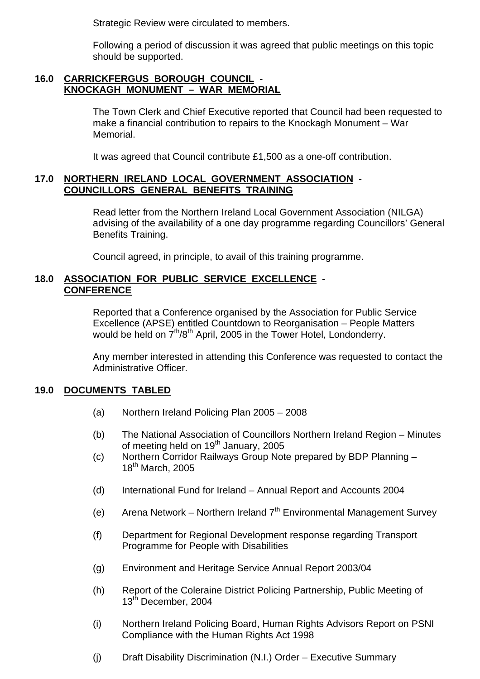Strategic Review were circulated to members.

 Following a period of discussion it was agreed that public meetings on this topic should be supported.

#### **16.0 CARRICKFERGUS BOROUGH COUNCIL - KNOCKAGH MONUMENT – WAR MEMORIAL**

 The Town Clerk and Chief Executive reported that Council had been requested to make a financial contribution to repairs to the Knockagh Monument – War Memorial.

It was agreed that Council contribute £1,500 as a one-off contribution.

# **17.0 NORTHERN IRELAND LOCAL GOVERNMENT ASSOCIATION** -  **COUNCILLORS GENERAL BENEFITS TRAINING**

 Read letter from the Northern Ireland Local Government Association (NILGA) advising of the availability of a one day programme regarding Councillors' General Benefits Training.

Council agreed, in principle, to avail of this training programme.

## **18.0 ASSOCIATION FOR PUBLIC SERVICE EXCELLENCE** - **CONFERENCE**

 Reported that a Conference organised by the Association for Public Service Excellence (APSE) entitled Countdown to Reorganisation – People Matters would be held on  $7<sup>th</sup>/8<sup>th</sup>$  April, 2005 in the Tower Hotel, Londonderry.

Any member interested in attending this Conference was requested to contact the Administrative Officer.

#### **19.0 DOCUMENTS TABLED**

- (a) Northern Ireland Policing Plan 2005 2008
- (b) The National Association of Councillors Northern Ireland Region Minutes of meeting held on  $19<sup>th</sup>$  January, 2005
- (c) Northern Corridor Railways Group Note prepared by BDP Planning 18<sup>th</sup> March, 2005
- (d) International Fund for Ireland Annual Report and Accounts 2004
- (e) Arena Network Northern Ireland  $7<sup>th</sup>$  Environmental Management Survey
- (f) Department for Regional Development response regarding Transport Programme for People with Disabilities
- (g) Environment and Heritage Service Annual Report 2003/04
- (h) Report of the Coleraine District Policing Partnership, Public Meeting of 13<sup>th</sup> December, 2004
- (i) Northern Ireland Policing Board, Human Rights Advisors Report on PSNI Compliance with the Human Rights Act 1998
- (j) Draft Disability Discrimination (N.I.) Order Executive Summary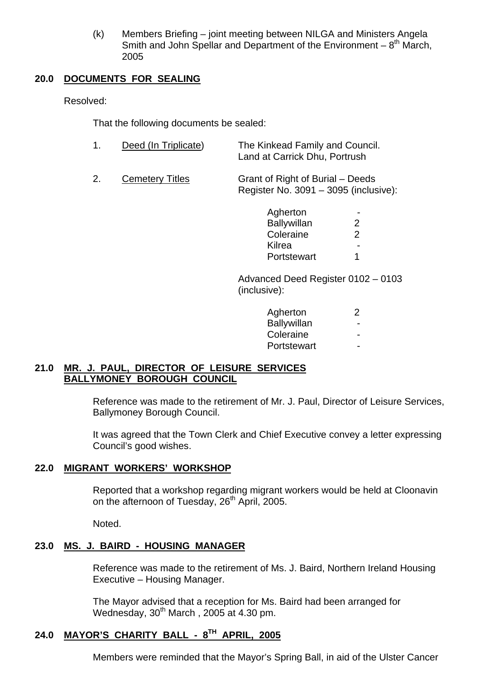(k) Members Briefing – joint meeting between NILGA and Ministers Angela Smith and John Spellar and Department of the Environment –  $8<sup>th</sup>$  March, 2005

# **20.0 DOCUMENTS FOR SEALING**

Resolved:

That the following documents be sealed:

| Deed (In Triplicate) | The Kinkead Family and Council. |
|----------------------|---------------------------------|
|                      | Land at Carrick Dhu, Portrush   |
|                      |                                 |

 2. Cemetery Titles Grant of Right of Burial – Deeds Register No. 3091 – 3095 (inclusive):

| Agherton    | $\sim$                   |
|-------------|--------------------------|
| Ballywillan | ⌒                        |
| Coleraine   | ⌒                        |
| Kilrea      | $\overline{\phantom{0}}$ |
| Portstewart |                          |

 Advanced Deed Register 0102 – 0103 (inclusive):

| Agherton           |                          |
|--------------------|--------------------------|
| <b>Ballywillan</b> | $\overline{\phantom{0}}$ |
| Coleraine          | $\overline{\phantom{0}}$ |
| Portstewart        | $\overline{\phantom{0}}$ |

# **21.0 MR. J. PAUL, DIRECTOR OF LEISURE SERVICES BALLYMONEY BOROUGH COUNCIL**

 Reference was made to the retirement of Mr. J. Paul, Director of Leisure Services, Ballymoney Borough Council.

It was agreed that the Town Clerk and Chief Executive convey a letter expressing Council's good wishes.

#### **22.0 MIGRANT WORKERS' WORKSHOP**

 Reported that a workshop regarding migrant workers would be held at Cloonavin on the afternoon of Tuesday, 26<sup>th</sup> April, 2005.

Noted.

# **23.0 MS. J. BAIRD - HOUSING MANAGER**

 Reference was made to the retirement of Ms. J. Baird, Northern Ireland Housing Executive – Housing Manager.

The Mayor advised that a reception for Ms. Baird had been arranged for Wednesday,  $30<sup>th</sup>$  March, 2005 at 4.30 pm.

# **24.0 MAYOR'S CHARITY BALL - 8TH APRIL, 2005**

Members were reminded that the Mayor's Spring Ball, in aid of the Ulster Cancer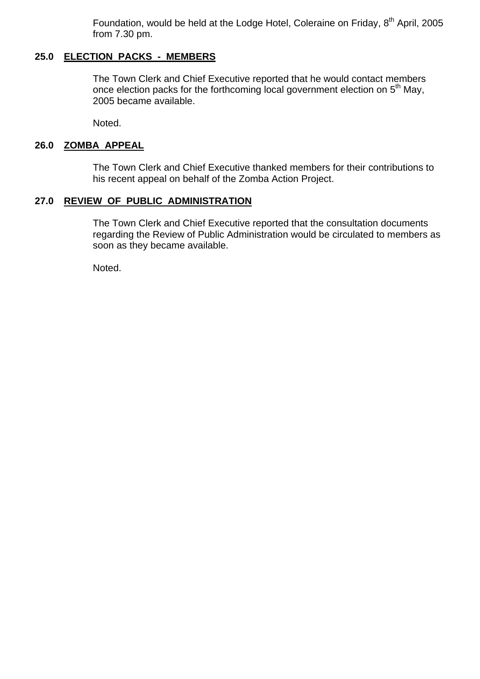Foundation, would be held at the Lodge Hotel, Coleraine on Friday, 8<sup>th</sup> April, 2005 from 7.30 pm.

# **25.0 ELECTION PACKS - MEMBERS**

 The Town Clerk and Chief Executive reported that he would contact members once election packs for the forthcoming local government election on  $5<sup>th</sup>$  May, 2005 became available.

Noted.

## **26.0 ZOMBA APPEAL**

 The Town Clerk and Chief Executive thanked members for their contributions to his recent appeal on behalf of the Zomba Action Project.

#### **27.0 REVIEW OF PUBLIC ADMINISTRATION**

 The Town Clerk and Chief Executive reported that the consultation documents regarding the Review of Public Administration would be circulated to members as soon as they became available.

Noted.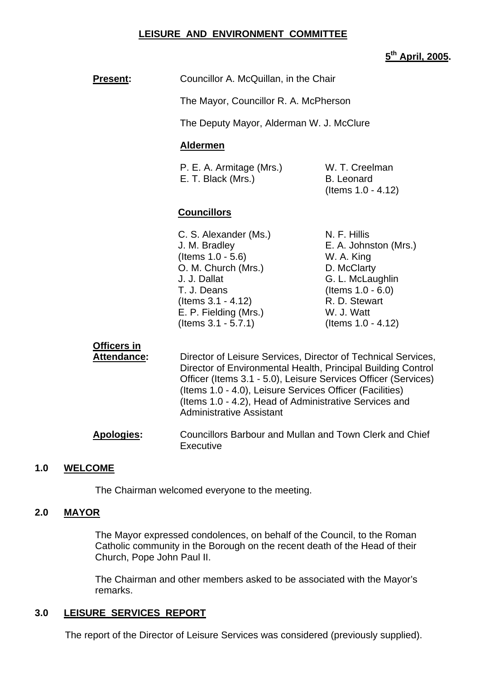### **LEISURE AND ENVIRONMENT COMMITTEE**

### **5th April, 2005.**

## **Present:** Councillor A. McQuillan, in the Chair

The Mayor, Councillor R. A. McPherson

The Deputy Mayor, Alderman W. J. McClure

#### **Aldermen**

P. E. A. Armitage (Mrs.) W. T. Creelman E. T. Black (Mrs.) B. Leonard

(Items 1.0 - 4.12)

#### **Councillors**

C. S. Alexander (Ms.) N. F. Hillis (Items 1.0 - 5.6) W. A. King O. M. Church (Mrs.) D. McClarty J. J. Dallat G. L. McLaughlin T. J. Deans (Items 1.0 - 6.0)  $($ ltems  $3.1 - 4.12$  R. D. Stewart E. P. Fielding (Mrs.) W. J. Watt (Items 3.1 - 5.7.1) (Items 1.0 - 4.12)

J. M. Bradley E. A. Johnston (Mrs.)

#### **Officers in**

 **Attendance:** Director of Leisure Services, Director of Technical Services, Director of Environmental Health, Principal Building Control Officer (Items 3.1 - 5.0), Leisure Services Officer (Services) (Items 1.0 - 4.0), Leisure Services Officer (Facilities) (Items 1.0 - 4.2), Head of Administrative Services and Administrative Assistant

 **Apologies:** Councillors Barbour and Mullan and Town Clerk and Chief **Executive** 

#### **1.0 WELCOME**

The Chairman welcomed everyone to the meeting.

#### **2.0 MAYOR**

The Mayor expressed condolences, on behalf of the Council, to the Roman Catholic community in the Borough on the recent death of the Head of their Church, Pope John Paul II.

The Chairman and other members asked to be associated with the Mayor's remarks.

#### **3.0 LEISURE SERVICES REPORT**

The report of the Director of Leisure Services was considered (previously supplied).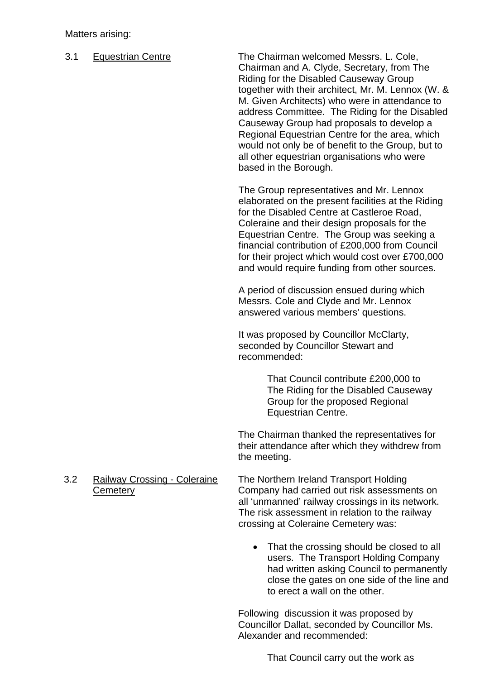#### Matters arising:

3.1 Equestrian Centre The Chairman welcomed Messrs. L. Cole, Chairman and A. Clyde, Secretary, from The Riding for the Disabled Causeway Group together with their architect, Mr. M. Lennox (W. & M. Given Architects) who were in attendance to address Committee. The Riding for the Disabled Causeway Group had proposals to develop a Regional Equestrian Centre for the area, which would not only be of benefit to the Group, but to all other equestrian organisations who were based in the Borough.

> The Group representatives and Mr. Lennox elaborated on the present facilities at the Riding for the Disabled Centre at Castleroe Road, Coleraine and their design proposals for the Equestrian Centre. The Group was seeking a financial contribution of £200,000 from Council for their project which would cost over £700,000 and would require funding from other sources.

A period of discussion ensued during which Messrs. Cole and Clyde and Mr. Lennox answered various members' questions.

It was proposed by Councillor McClarty, seconded by Councillor Stewart and recommended:

> That Council contribute £200,000 to The Riding for the Disabled Causeway Group for the proposed Regional Equestrian Centre.

 The Chairman thanked the representatives for their attendance after which they withdrew from the meeting.

- 3.2 Railway Crossing Coleraine The Northern Ireland Transport Holding Cemetery Company had carried out risk assessments on all 'unmanned' railway crossings in its network. The risk assessment in relation to the railway crossing at Coleraine Cemetery was:
	- That the crossing should be closed to all users. The Transport Holding Company had written asking Council to permanently close the gates on one side of the line and to erect a wall on the other.

Following discussion it was proposed by Councillor Dallat, seconded by Councillor Ms. Alexander and recommended:

That Council carry out the work as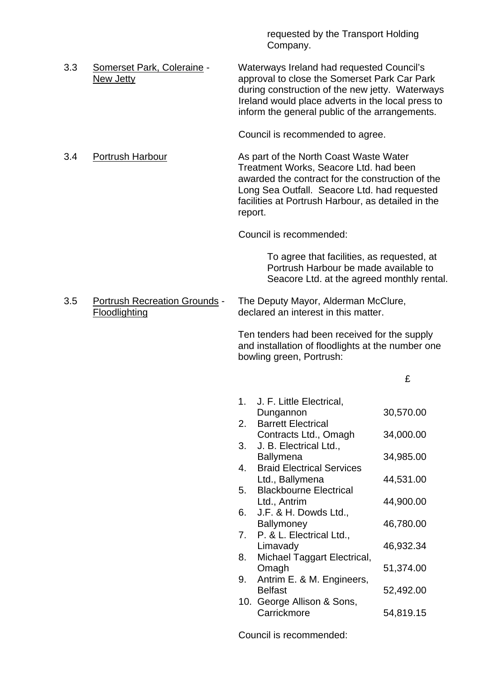requested by the Transport Holding Company.

3.3 Somerset Park, Coleraine - Waterways Ireland had requested Council's New Jetty approval to close the Somerset Park Car Park during construction of the new jetty. Waterways Ireland would place adverts in the local press to inform the general public of the arrangements.

Council is recommended to agree.

3.4 Portrush Harbour **As part of the North Coast Waste Water** Treatment Works, Seacore Ltd. had been awarded the contract for the construction of the Long Sea Outfall. Seacore Ltd. had requested facilities at Portrush Harbour, as detailed in the report.

Council is recommended:

To agree that facilities, as requested, at Portrush Harbour be made available to Seacore Ltd. at the agreed monthly rental.

# 3.5 Portrush Recreation Grounds - The Deputy Mayor, Alderman McClure, Floodlighting declared an interest in this matter.

 Ten tenders had been received for the supply and installation of floodlights at the number one bowling green, Portrush:

£

| 1. | J. F. Little Electrical,<br>Dungannon              | 30,570.00 |
|----|----------------------------------------------------|-----------|
| 2. | <b>Barrett Electrical</b><br>Contracts Ltd., Omagh | 34,000.00 |
| 3. | J. B. Electrical Ltd.,<br>Ballymena                | 34,985.00 |
| 4. | <b>Braid Electrical Services</b>                   |           |
| 5. | Ltd., Ballymena<br><b>Blackbourne Electrical</b>   | 44,531.00 |
| 6. | Ltd., Antrim<br>J.F. & H. Dowds Ltd.,              | 44,900.00 |
| 7. | <b>Ballymoney</b><br>P. & L. Electrical Ltd.,      | 46,780.00 |
|    | Limavady                                           | 46,932.34 |
| 8. | Michael Taggart Electrical,<br>Omagh               | 51,374.00 |
| 9. | Antrim E. & M. Engineers,<br><b>Belfast</b>        | 52,492.00 |
|    | 10. George Allison & Sons,<br>Carrickmore          | 54,819.15 |
|    |                                                    |           |

Council is recommended: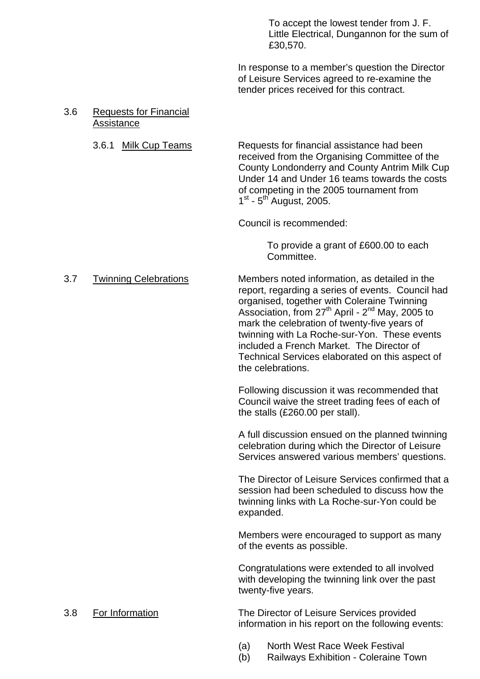To accept the lowest tender from J. F. Little Electrical, Dungannon for the sum of £30,570.

 In response to a member's question the Director of Leisure Services agreed to re-examine the tender prices received for this contract.

#### 3.6 Requests for Financial Assistance

 3.6.1 Milk Cup Teams Requests for financial assistance had been received from the Organising Committee of the County Londonderry and County Antrim Milk Cup Under 14 and Under 16 teams towards the costs of competing in the 2005 tournament from  $1<sup>st</sup>$  -  $5<sup>th</sup>$  August, 2005.

Council is recommended:

 To provide a grant of £600.00 to each Committee.

#### 3.7 Twinning Celebrations Members noted information, as detailed in the

report, regarding a series of events. Council had organised, together with Coleraine Twinning Association, from 27<sup>th</sup> April - 2<sup>nd</sup> May, 2005 to mark the celebration of twenty-five years of twinning with La Roche-sur-Yon. These events included a French Market. The Director of Technical Services elaborated on this aspect of the celebrations.

Following discussion it was recommended that Council waive the street trading fees of each of the stalls (£260.00 per stall).

A full discussion ensued on the planned twinning celebration during which the Director of Leisure Services answered various members' questions.

The Director of Leisure Services confirmed that a session had been scheduled to discuss how the twinning links with La Roche-sur-Yon could be expanded.

Members were encouraged to support as many of the events as possible.

Congratulations were extended to all involved with developing the twinning link over the past twenty-five years.

 3.8 For Information The Director of Leisure Services provided information in his report on the following events:

- (a) North West Race Week Festival
- (b) Railways Exhibition Coleraine Town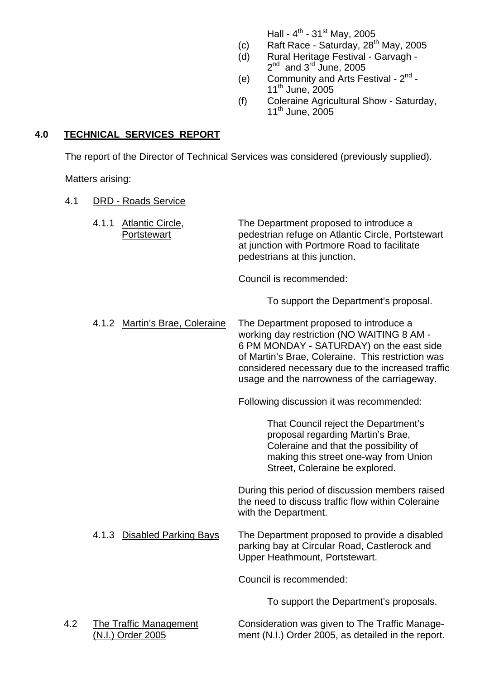Hall -  $4^{th}$  - 31st May, 2005

- (c) Raft Race Saturday,  $28<sup>th</sup>$  May, 2005
- (d) Rural Heritage Festival Garvagh  $2<sup>nd</sup>$  and  $3<sup>rd</sup>$  June, 2005
- (e) Community and Arts Festival  $2<sup>nd</sup>$  -11<sup>th</sup> June, 2005
- (f) Coleraine Agricultural Show Saturday,  $11<sup>th</sup>$  June,  $2005$

# **4.0 TECHNICAL SERVICES REPORT**

The report of the Director of Technical Services was considered (previously supplied).

Matters arising:

# 4.1 DRD - Roads Service

 4.1.1 Atlantic Circle, The Department proposed to introduce a Portstewart pedestrian refuge on Atlantic Circle, Portstewart at junction with Portmore Road to facilitate pedestrians at this junction.

Council is recommended:

To support the Department's proposal.

 4.1.2 Martin's Brae, Coleraine The Department proposed to introduce a working day restriction (NO WAITING 8 AM - 6 PM MONDAY - SATURDAY) on the east side of Martin's Brae, Coleraine. This restriction was considered necessary due to the increased traffic usage and the narrowness of the carriageway.

Following discussion it was recommended:

That Council reject the Department's proposal regarding Martin's Brae, Coleraine and that the possibility of making this street one-way from Union Street, Coleraine be explored.

 During this period of discussion members raised the need to discuss traffic flow within Coleraine with the Department.

 4.1.3 Disabled Parking Bays The Department proposed to provide a disabled parking bay at Circular Road, Castlerock and Upper Heathmount, Portstewart.

Council is recommended:

To support the Department's proposals.

 4.2 The Traffic Management Consideration was given to The Traffic Manage- (N.I.) Order 2005 ment (N.I.) Order 2005, as detailed in the report.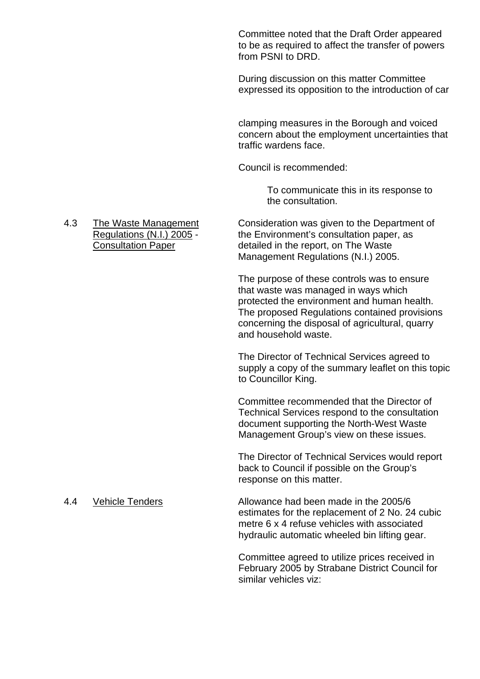Committee noted that the Draft Order appeared to be as required to affect the transfer of powers from PSNI to DRD.

During discussion on this matter Committee expressed its opposition to the introduction of car

clamping measures in the Borough and voiced concern about the employment uncertainties that traffic wardens face.

Council is recommended:

 To communicate this in its response to the consultation.

#### 4.3 The Waste Management Consideration was given to the Department of Regulations (N.I.) 2005 - the Environment's consultation paper, as Consultation Paper detailed in the report, on The Waste Management Regulations (N.I.) 2005.

The purpose of these controls was to ensure that waste was managed in ways which protected the environment and human health. The proposed Regulations contained provisions concerning the disposal of agricultural, quarry and household waste.

The Director of Technical Services agreed to supply a copy of the summary leaflet on this topic to Councillor King.

Committee recommended that the Director of Technical Services respond to the consultation document supporting the North-West Waste Management Group's view on these issues.

The Director of Technical Services would report back to Council if possible on the Group's response on this matter.

4.4 Vehicle Tenders Allowance had been made in the 2005/6 estimates for the replacement of 2 No. 24 cubic metre 6 x 4 refuse vehicles with associated hydraulic automatic wheeled bin lifting gear.

> Committee agreed to utilize prices received in February 2005 by Strabane District Council for similar vehicles viz: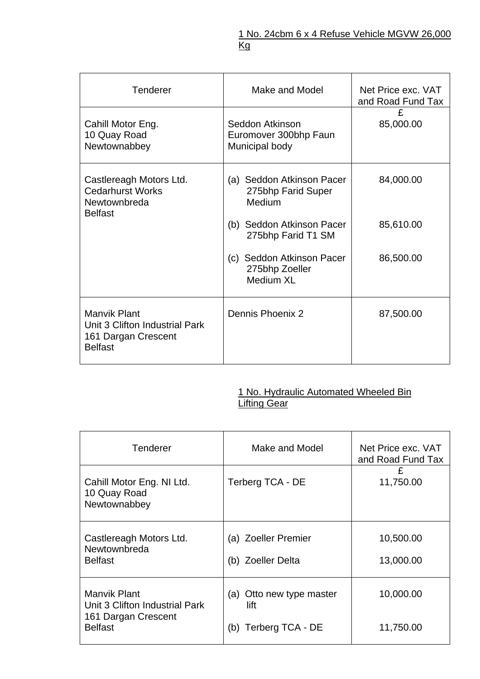| <b>Tenderer</b>                                                                                | Make and Model                                             | Net Price exc. VAT<br>and Road Fund Tax |
|------------------------------------------------------------------------------------------------|------------------------------------------------------------|-----------------------------------------|
| Cahill Motor Eng.<br>10 Quay Road<br>Newtownabbey                                              | Seddon Atkinson<br>Euromover 300bhp Faun<br>Municipal body | £<br>85,000.00                          |
| Castlereagh Motors Ltd.<br><b>Cedarhurst Works</b><br>Newtownbreda<br><b>Belfast</b>           | (a) Seddon Atkinson Pacer<br>275bhp Farid Super<br>Medium  | 84,000.00                               |
|                                                                                                | (b) Seddon Atkinson Pacer<br>275bhp Farid T1 SM            | 85,610.00                               |
|                                                                                                | (c) Seddon Atkinson Pacer<br>275bhp Zoeller<br>Medium XL   | 86,500.00                               |
| <b>Manvik Plant</b><br>Unit 3 Clifton Industrial Park<br>161 Dargan Crescent<br><b>Belfast</b> | Dennis Phoenix 2                                           | 87,500.00                               |

#### **1 No. Hydraulic Automated Wheeled Bin Lifting Gear** (1999) 2004 12:30 Million Contract Contract Contract Contract Contract Contract Contract Contract Contract Contract Contract Contract Contract Contract Contract Contract Contract Contract Contract Contract C

| <b>Tenderer</b>                                           | Make and Model                           | Net Price exc. VAT<br>and Road Fund Tax |
|-----------------------------------------------------------|------------------------------------------|-----------------------------------------|
| Cahill Motor Eng. NI Ltd.<br>10 Quay Road<br>Newtownabbey | Terberg TCA - DE                         | £<br>11,750.00                          |
| Castlereagh Motors Ltd.<br>Newtownbreda<br><b>Belfast</b> | (a) Zoeller Premier<br>(b) Zoeller Delta | 10,500.00<br>13,000.00                  |
| <b>Manvik Plant</b><br>Unit 3 Clifton Industrial Park     | (a) Otto new type master<br>lift         | 10,000.00                               |
| 161 Dargan Crescent<br><b>Belfast</b>                     | Terberg TCA - DE<br>(b)                  | 11,750.00                               |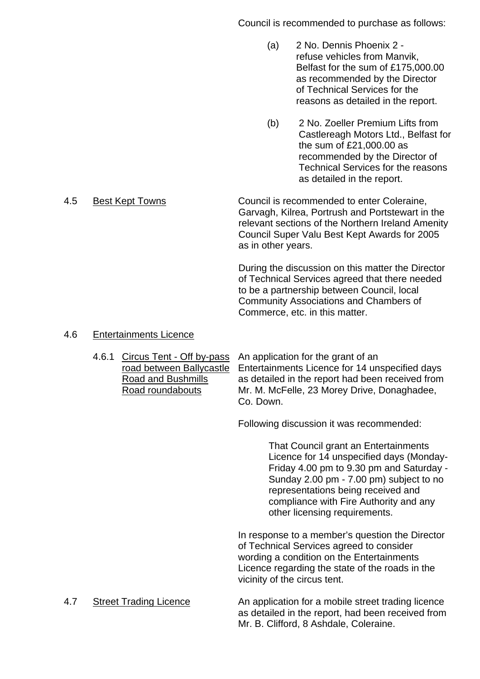Council is recommended to purchase as follows:

- (a) 2 No. Dennis Phoenix 2 refuse vehicles from Manvik, Belfast for the sum of £175,000.00 as recommended by the Director of Technical Services for the reasons as detailed in the report.
- (b) 2 No. Zoeller Premium Lifts from Castlereagh Motors Ltd., Belfast for the sum of £21,000.00 as recommended by the Director of Technical Services for the reasons as detailed in the report.

 4.5 Best Kept Towns Council is recommended to enter Coleraine, Garvagh, Kilrea, Portrush and Portstewart in the relevant sections of the Northern Ireland Amenity Council Super Valu Best Kept Awards for 2005 as in other years.

> During the discussion on this matter the Director of Technical Services agreed that there needed to be a partnership between Council, local Community Associations and Chambers of Commerce, etc. in this matter.

# 4.6 Entertainments Licence

 4.6.1 Circus Tent - Off by-pass An application for the grant of an road between Ballycastle Entertainments Licence for 14 unspecified days Road and Bushmills as detailed in the report had been received from Road roundabouts Mr. M. McFelle, 23 Morey Drive, Donaghadee, Co. Down.

Following discussion it was recommended:

That Council grant an Entertainments Licence for 14 unspecified days (Monday-Friday 4.00 pm to 9.30 pm and Saturday - Sunday 2.00 pm - 7.00 pm) subject to no representations being received and compliance with Fire Authority and any other licensing requirements.

 In response to a member's question the Director of Technical Services agreed to consider wording a condition on the Entertainments Licence regarding the state of the roads in the vicinity of the circus tent.

 4.7 Street Trading Licence An application for a mobile street trading licence as detailed in the report, had been received from Mr. B. Clifford, 8 Ashdale, Coleraine.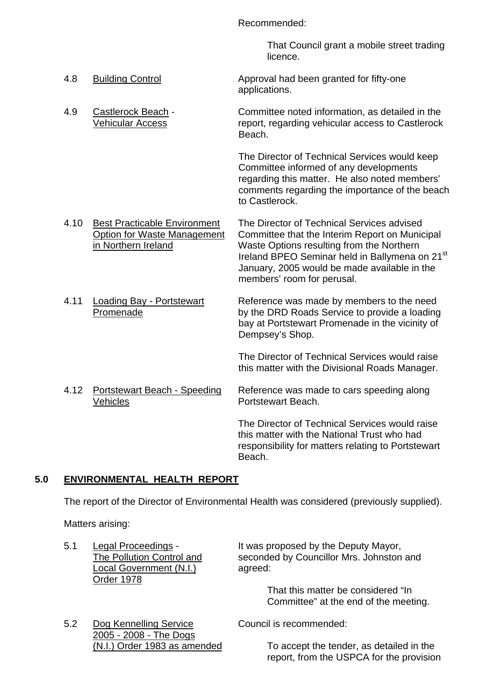Recommended:

 That Council grant a mobile street trading licence.

- 4.8 Building Control **Approval had been granted for fifty-one** applications.
- 4.9 Castlerock Beach Committee noted information, as detailed in the Vehicular Access report, regarding vehicular access to Castlerock Beach.

The Director of Technical Services would keep Committee informed of any developments regarding this matter. He also noted members' comments regarding the importance of the beach to Castlerock.

- 4.10 Best Practicable Environment The Director of Technical Services advised Option for Waste Management Committee that the Interim Report on Municipal in Northern Ireland Waste Options resulting from the Northern Ireland BPEO Seminar held in Ballymena on 21<sup>st</sup> January, 2005 would be made available in the members' room for perusal.
- 4.11 Loading Bay Portstewart Reference was made by members to the need Promenade by the DRD Roads Service to provide a loading bay at Portstewart Promenade in the vicinity of Dempsey's Shop.

The Director of Technical Services would raise this matter with the Divisional Roads Manager.

4.12 Portstewart Beach - Speeding Reference was made to cars speeding along Vehicles **Portstewart Beach.** 

 The Director of Technical Services would raise this matter with the National Trust who had responsibility for matters relating to Portstewart Beach.

report, from the USPCA for the provision

# **5.0 ENVIRONMENTAL HEALTH REPORT**

The report of the Director of Environmental Health was considered (previously supplied).

Matters arising:

| 5.1 | Legal Proceedings -<br>The Pollution Control and<br>Local Government (N.I.)<br>Order 1978 | It was proposed by the Deputy Mayor,<br>seconded by Councillor Mrs. Johnston and<br>agreed:<br>That this matter be considered "In<br>Committee" at the end of the meeting. |
|-----|-------------------------------------------------------------------------------------------|----------------------------------------------------------------------------------------------------------------------------------------------------------------------------|
| 5.2 | Dog Kennelling Service                                                                    | Council is recommended:                                                                                                                                                    |
|     | 2005 - 2008 - The Dogs<br>(N.I.) Order 1983 as amended                                    | To accept the tender, as detailed in the                                                                                                                                   |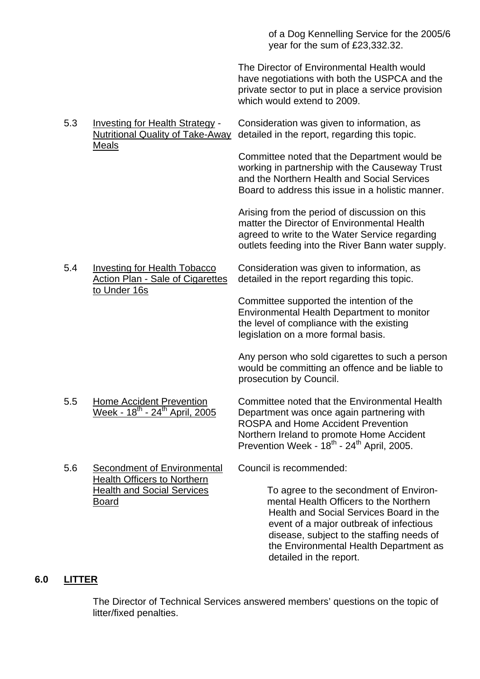of a Dog Kennelling Service for the 2005/6 year for the sum of £23,332.32.

 The Director of Environmental Health would have negotiations with both the USPCA and the private sector to put in place a service provision which would extend to 2009.

 5.3 Investing for Health Strategy - Consideration was given to information, as Nutritional Quality of Take-Away detailed in the report, regarding this topic. Meals

> Committee noted that the Department would be working in partnership with the Causeway Trust and the Northern Health and Social Services Board to address this issue in a holistic manner.

Arising from the period of discussion on this matter the Director of Environmental Health agreed to write to the Water Service regarding outlets feeding into the River Bann water supply.

5.4 Investing for Health Tobacco Consideration was given to information, as Action Plan - Sale of Cigarettes detailed in the report regarding this topic. to Under 16s

> Committee supported the intention of the Environmental Health Department to monitor the level of compliance with the existing legislation on a more formal basis.

Any person who sold cigarettes to such a person would be committing an offence and be liable to prosecution by Council.

Health Officers to Northern

5.5 Home Accident Prevention Committee noted that the Environmental Health<br>Week -  $18^{th}$  -  $24^{th}$  April. 2005 Department was once again partnering with Department was once again partnering with ROSPA and Home Accident Prevention Northern Ireland to promote Home Accident Prevention Week - 18<sup>th</sup> - 24<sup>th</sup> April, 2005.

5.6 Secondment of Environmental Council is recommended:

Health and Social Services To agree to the secondment of Environ-Board mental Health Officers to the Northern Health and Social Services Board in the event of a major outbreak of infectious disease, subject to the staffing needs of the Environmental Health Department as detailed in the report.

# **6.0 LITTER**

 The Director of Technical Services answered members' questions on the topic of litter/fixed penalties.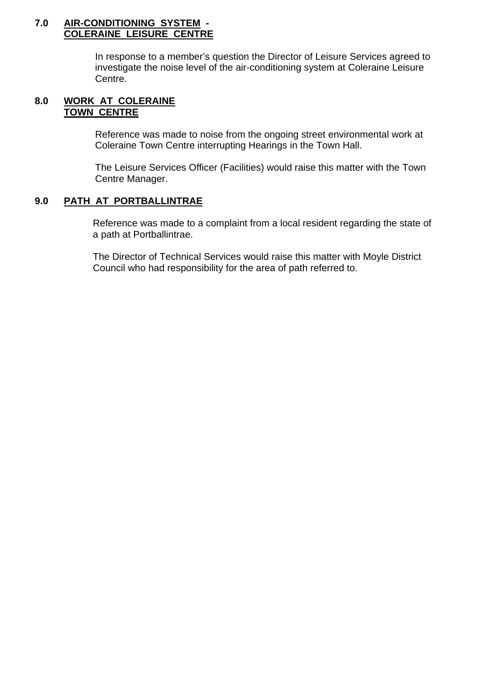#### **7.0 AIR-CONDITIONING SYSTEM - COLERAINE LEISURE CENTRE**

In response to a member's question the Director of Leisure Services agreed to investigate the noise level of the air-conditioning system at Coleraine Leisure Centre.

### **8.0 WORK AT COLERAINE TOWN CENTRE**

Reference was made to noise from the ongoing street environmental work at Coleraine Town Centre interrupting Hearings in the Town Hall.

The Leisure Services Officer (Facilities) would raise this matter with the Town Centre Manager.

# **9.0 PATH AT PORTBALLINTRAE**

 Reference was made to a complaint from a local resident regarding the state of a path at Portballintrae.

 The Director of Technical Services would raise this matter with Moyle District Council who had responsibility for the area of path referred to.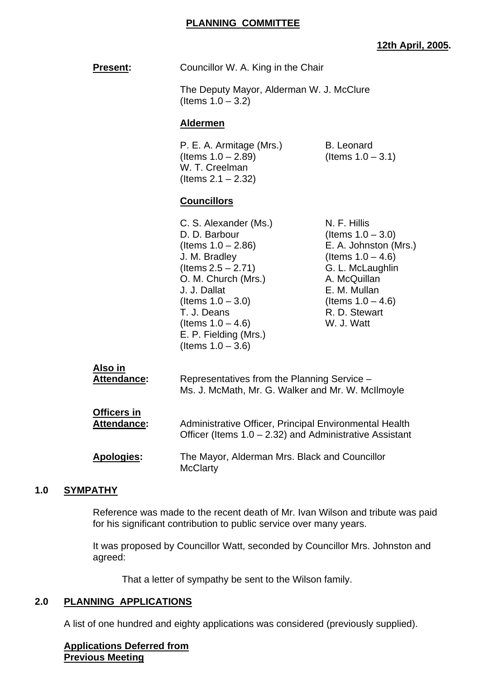**Present:** Councillor W. A. King in the Chair

 The Deputy Mayor, Alderman W. J. McClure (Items  $1.0 - 3.2$ )

#### **Aldermen**

P. E. A. Armitage (Mrs.) B. Leonard  $($ ltems  $1.0 - 2.89)$  (Items  $1.0 - 3.1)$  W. T. Creelman  $($  Items  $2.1 - 2.32)$ 

# **Councillors**

C. S. Alexander (Ms.) N. F. Hillis D. D. Barbour (Items  $1.0 - 3.0$ ) J. M. Bradley  $($ Items  $1.0 - 4.6)$  $($ ltems  $2.5 - 2.71)$  G. L. McLaughlin O. M. Church (Mrs.) A. McQuillan J. J. Dallat E. M. Mullan  $($ ltems  $1.0 - 3.0)$   $($ ltems  $1.0 - 4.6)$ T. J. Deans  $R. D.$  Stewart (Items  $1.0 - 4.6$ ) W. J. Watt  $($ ltems  $1.0 - 4.6)$  E. P. Fielding (Mrs.) (Items  $1.0 - 3.6$ )

(Items 1.0 – 2.86) E. A. Johnston (Mrs.)

| Also in            | Representatives from the Planning Service -                      |
|--------------------|------------------------------------------------------------------|
| <b>Attendance:</b> | Ms. J. McMath, Mr. G. Walker and Mr. W. McIlmoyle                |
| <b>Officers in</b> | Administrative Officer, Principal Environmental Health           |
| <b>Attendance:</b> | Officer (Items $1.0 - 2.32$ ) and Administrative Assistant       |
| <b>Apologies:</b>  | The Mayor, Alderman Mrs. Black and Councillor<br><b>McClarty</b> |

#### **1.0 SYMPATHY**

 Reference was made to the recent death of Mr. Ivan Wilson and tribute was paid for his significant contribution to public service over many years.

 It was proposed by Councillor Watt, seconded by Councillor Mrs. Johnston and agreed:

That a letter of sympathy be sent to the Wilson family.

#### **2.0 PLANNING APPLICATIONS**

A list of one hundred and eighty applications was considered (previously supplied).

**Applications Deferred from Previous Meeting**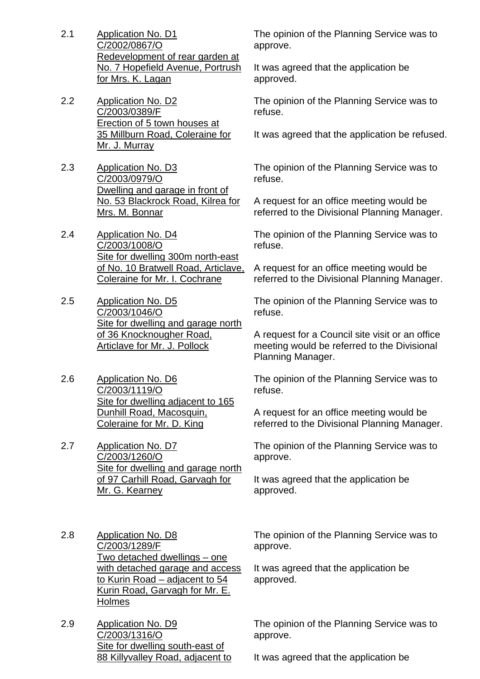- 2.1 Application No. D1 C/2002/0867/O Redevelopment of rear garden at No. 7 Hopefield Avenue, Portrush for Mrs. K. Lagan
- 2.2 Application No. D2 C/2003/0389/F Erection of 5 town houses at 35 Millburn Road, Coleraine for Mr. J. Murray
- 2.3 Application No. D3 C/2003/0979/O Dwelling and garage in front of No. 53 Blackrock Road, Kilrea for Mrs. M. Bonnar
- 2.4 Application No. D4 C/2003/1008/O Site for dwelling 300m north-east of No. 10 Bratwell Road, Articlave, Coleraine for Mr. I. Cochrane
- 2.5 Application No. D5 C/2003/1046/O Site for dwelling and garage north of 36 Knocknougher Road, Articlave for Mr. J. Pollock
- 2.6 Application No. D6 C/2003/1119/O Site for dwelling adjacent to 165 Dunhill Road, Macosquin, Coleraine for Mr. D. King
- 2.7 Application No. D7 C/2003/1260/O Site for dwelling and garage north of 97 Carhill Road, Garvagh for Mr. G. Kearney
- 2.8 Application No. D8 C/2003/1289/F Two detached dwellings – one with detached garage and access to Kurin Road – adjacent to 54 Kurin Road, Garvagh for Mr. E. **Holmes**
- 2.9 Application No. D9 C/2003/1316/O Site for dwelling south-east of 88 Killyvalley Road, adjacent to

The opinion of the Planning Service was to approve.

It was agreed that the application be approved.

The opinion of the Planning Service was to refuse.

It was agreed that the application be refused.

The opinion of the Planning Service was to refuse.

A request for an office meeting would be referred to the Divisional Planning Manager.

The opinion of the Planning Service was to refuse.

A request for an office meeting would be referred to the Divisional Planning Manager.

The opinion of the Planning Service was to refuse.

A request for a Council site visit or an office meeting would be referred to the Divisional Planning Manager.

The opinion of the Planning Service was to refuse.

A request for an office meeting would be referred to the Divisional Planning Manager.

The opinion of the Planning Service was to approve.

It was agreed that the application be approved.

The opinion of the Planning Service was to approve.

It was agreed that the application be approved.

The opinion of the Planning Service was to approve.

It was agreed that the application be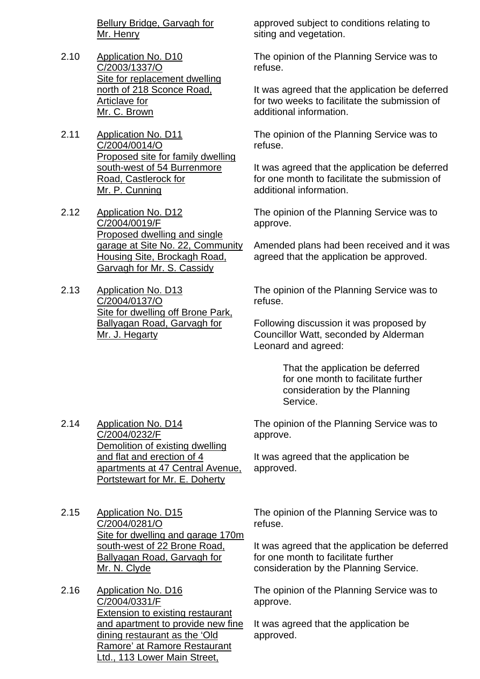Bellury Bridge, Garvagh for Mr. Henry

- 2.10 Application No. D10 C/2003/1337/O Site for replacement dwelling north of 218 Sconce Road, Articlave for Mr. C. Brown
- 2.11 Application No. D11 C/2004/0014/O Proposed site for family dwelling south-west of 54 Burrenmore Road, Castlerock for Mr. P. Cunning
- 2.12 Application No. D12 C/2004/0019/F Proposed dwelling and single garage at Site No. 22, Community Housing Site, Brockagh Road, Garvagh for Mr. S. Cassidy
- 2.13 Application No. D13 C/2004/0137/O Site for dwelling off Brone Park, Ballyagan Road, Garvagh for Mr. J. Hegarty

approved subject to conditions relating to siting and vegetation.

The opinion of the Planning Service was to refuse.

It was agreed that the application be deferred for two weeks to facilitate the submission of additional information.

The opinion of the Planning Service was to refuse.

It was agreed that the application be deferred for one month to facilitate the submission of additional information.

The opinion of the Planning Service was to approve.

Amended plans had been received and it was agreed that the application be approved.

The opinion of the Planning Service was to refuse.

Following discussion it was proposed by Councillor Watt, seconded by Alderman Leonard and agreed:

> That the application be deferred for one month to facilitate further consideration by the Planning Service.

2.14 Application No. D14 C/2004/0232/F Demolition of existing dwelling and flat and erection of 4 apartments at 47 Central Avenue, Portstewart for Mr. E. Doherty

The opinion of the Planning Service was to approve.

It was agreed that the application be approved.

- 2.15 Application No. D15 C/2004/0281/O Site for dwelling and garage 170m south-west of 22 Brone Road, Ballyagan Road, Garvagh for Mr. N. Clyde
- 2.16 Application No. D16 C/2004/0331/F Extension to existing restaurant and apartment to provide new fine dining restaurant as the 'Old Ramore' at Ramore Restaurant Ltd., 113 Lower Main Street,

The opinion of the Planning Service was to refuse.

It was agreed that the application be deferred for one month to facilitate further consideration by the Planning Service.

The opinion of the Planning Service was to approve.

It was agreed that the application be approved.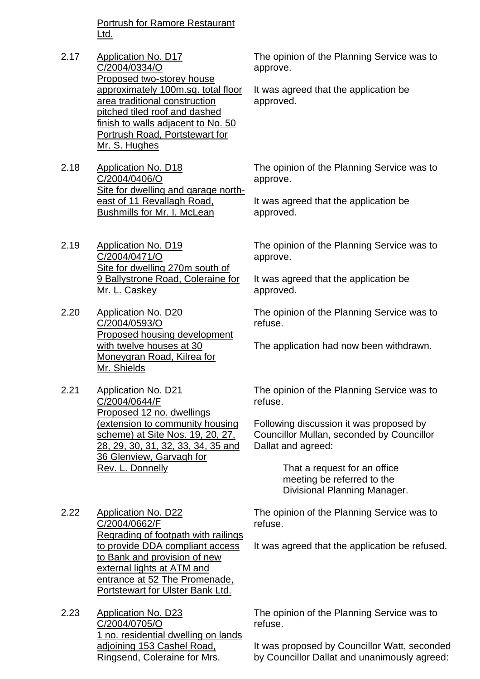Portrush for Ramore Restaurant Ltd.

- 2.17 Application No. D17 C/2004/0334/O Proposed two-storey house approximately 100m.sq. total floor area traditional construction pitched tiled roof and dashed finish to walls adjacent to No. 50 Portrush Road, Portstewart for Mr. S. Hughes
- 2.18 Application No. D18 C/2004/0406/O Site for dwelling and garage northeast of 11 Revallagh Road, Bushmills for Mr. I. McLean
- 2.19 Application No. D19 C/2004/0471/O Site for dwelling 270m south of 9 Ballystrone Road, Coleraine for Mr. L. Caskey
- 2.20 Application No. D20 C/2004/0593/O Proposed housing development with twelve houses at 30 Moneygran Road, Kilrea for Mr. Shields
- 2.21 Application No. D21 C/2004/0644/F Proposed 12 no. dwellings (extension to community housing scheme) at Site Nos. 19, 20, 27, 28, 29, 30, 31, 32, 33, 34, 35 and 36 Glenview, Garvagh for Rev. L. Donnelly

2.22 Application No. D22 C/2004/0662/F Regrading of footpath with railings to provide DDA compliant access to Bank and provision of new external lights at ATM and entrance at 52 The Promenade, Portstewart for Ulster Bank Ltd.

2.23 Application No. D23 C/2004/0705/O 1 no. residential dwelling on lands adjoining 153 Cashel Road, Ringsend, Coleraine for Mrs.

The opinion of the Planning Service was to approve.

It was agreed that the application be approved.

The opinion of the Planning Service was to approve.

It was agreed that the application be approved.

The opinion of the Planning Service was to approve.

It was agreed that the application be approved.

The opinion of the Planning Service was to refuse.

The application had now been withdrawn.

The opinion of the Planning Service was to refuse.

Following discussion it was proposed by Councillor Mullan, seconded by Councillor Dallat and agreed:

> That a request for an office meeting be referred to the Divisional Planning Manager.

The opinion of the Planning Service was to refuse.

It was agreed that the application be refused.

The opinion of the Planning Service was to refuse.

It was proposed by Councillor Watt, seconded by Councillor Dallat and unanimously agreed: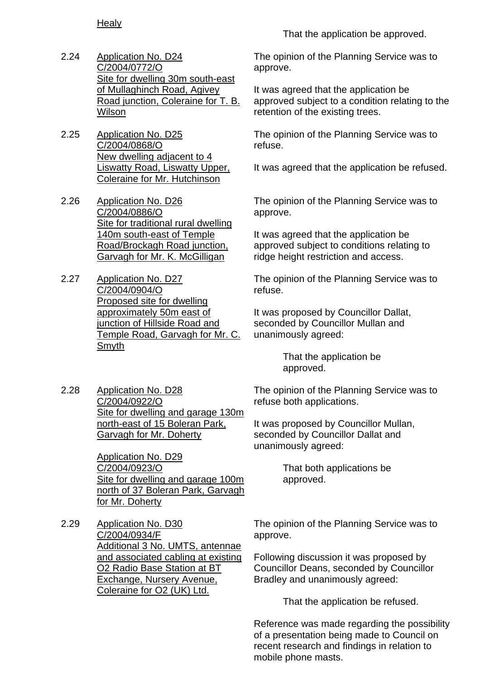**Healy** 

- 2.24 Application No. D24 C/2004/0772/O Site for dwelling 30m south-east of Mullaghinch Road, Agivey Road junction, Coleraine for T. B. **Wilson**
- 2.25 Application No. D25 C/2004/0868/O New dwelling adjacent to 4 Liswatty Road, Liswatty Upper, Coleraine for Mr. Hutchinson
- 2.26 Application No. D26 C/2004/0886/O Site for traditional rural dwelling 140m south-east of Temple Road/Brockagh Road junction, Garvagh for Mr. K. McGilligan
- 2.27 Application No. D27 C/2004/0904/O Proposed site for dwelling approximately 50m east of junction of Hillside Road and Temple Road, Garvagh for Mr. C. Smyth

That the application be approved.

The opinion of the Planning Service was to approve.

It was agreed that the application be approved subject to a condition relating to the retention of the existing trees.

The opinion of the Planning Service was to refuse.

It was agreed that the application be refused.

The opinion of the Planning Service was to approve.

It was agreed that the application be approved subject to conditions relating to ridge height restriction and access.

The opinion of the Planning Service was to refuse.

It was proposed by Councillor Dallat, seconded by Councillor Mullan and unanimously agreed:

> That the application be approved.

2.28 Application No. D28 C/2004/0922/O Site for dwelling and garage 130m north-east of 15 Boleran Park, Garvagh for Mr. Doherty

> Application No. D29 C/2004/0923/O Site for dwelling and garage 100m north of 37 Boleran Park, Garvagh for Mr. Doherty

2.29 Application No. D30 C/2004/0934/F Additional 3 No. UMTS, antennae and associated cabling at existing O2 Radio Base Station at BT Exchange, Nursery Avenue, Coleraine for O2 (UK) Ltd.

The opinion of the Planning Service was to refuse both applications.

It was proposed by Councillor Mullan, seconded by Councillor Dallat and unanimously agreed:

> That both applications be approved.

The opinion of the Planning Service was to approve.

Following discussion it was proposed by Councillor Deans, seconded by Councillor Bradley and unanimously agreed:

That the application be refused.

Reference was made regarding the possibility of a presentation being made to Council on recent research and findings in relation to mobile phone masts.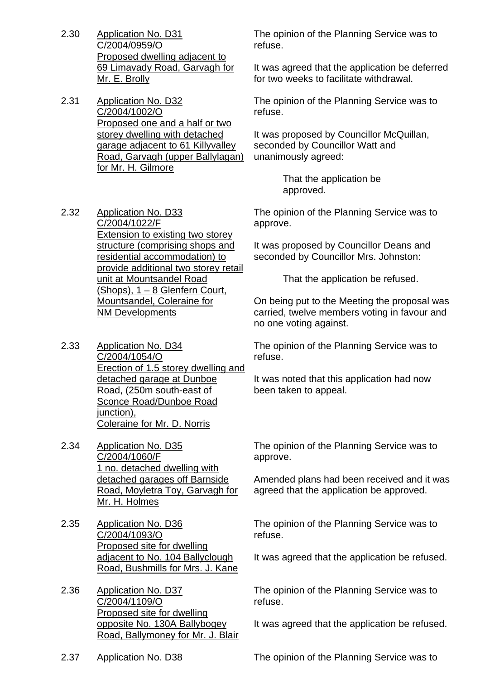- 2.30 Application No. D31 C/2004/0959/O Proposed dwelling adjacent to 69 Limavady Road, Garvagh for Mr. E. Brolly
- 2.31 Application No. D32 C/2004/1002/O Proposed one and a half or two storey dwelling with detached garage adjacent to 61 Killyvalley Road, Garvagh (upper Ballylagan) for Mr. H. Gilmore

The opinion of the Planning Service was to refuse.

It was agreed that the application be deferred for two weeks to facilitate withdrawal.

The opinion of the Planning Service was to refuse.

It was proposed by Councillor McQuillan, seconded by Councillor Watt and unanimously agreed:

> That the application be approved.

The opinion of the Planning Service was to approve.

It was proposed by Councillor Deans and seconded by Councillor Mrs. Johnston:

That the application be refused.

On being put to the Meeting the proposal was carried, twelve members voting in favour and no one voting against.

The opinion of the Planning Service was to refuse.

It was noted that this application had now been taken to appeal.

C/2004/1022/F Extension to existing two storey structure (comprising shops and residential accommodation) to provide additional two storey retail unit at Mountsandel Road  $(Shops)$ , 1 – 8 Glenfern Court, Mountsandel, Coleraine for NM Developments

2.32 Application No. D33

- 2.33 Application No. D34 C/2004/1054/O Erection of 1.5 storey dwelling and detached garage at Dunboe Road, (250m south-east of Sconce Road/Dunboe Road junction), Coleraine for Mr. D. Norris
- 2.34 Application No. D35 C/2004/1060/F 1 no. detached dwelling with detached garages off Barnside Road, Moyletra Toy, Garvagh for Mr. H. Holmes
- 2.35 Application No. D36 C/2004/1093/O Proposed site for dwelling adjacent to No. 104 Ballyclough Road, Bushmills for Mrs. J. Kane

2.36 Application No. D37 C/2004/1109/O Proposed site for dwelling opposite No. 130A Ballybogey Road, Ballymoney for Mr. J. Blair The opinion of the Planning Service was to approve.

Amended plans had been received and it was agreed that the application be approved.

The opinion of the Planning Service was to refuse.

It was agreed that the application be refused.

The opinion of the Planning Service was to refuse.

It was agreed that the application be refused.

2.37 Application No. D38 The opinion of the Planning Service was to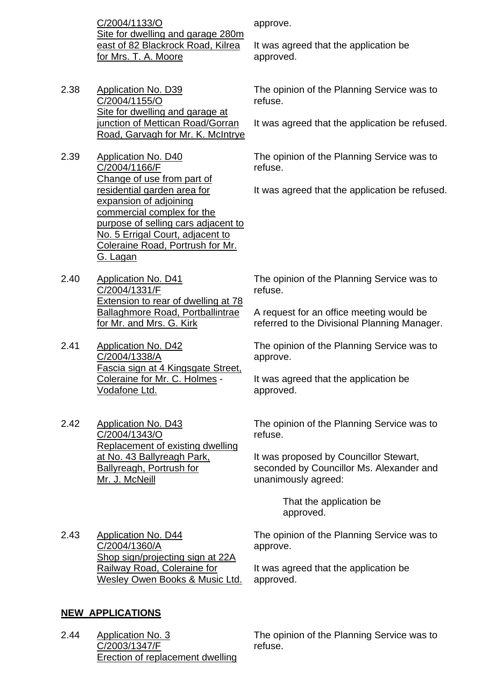C/2004/1133/O Site for dwelling and garage 280m east of 82 Blackrock Road, Kilrea for Mrs. T. A. Moore

- 2.38 Application No. D39 C/2004/1155/O Site for dwelling and garage at junction of Mettican Road/Gorran Road, Garvagh for Mr. K. McIntrye
- 2.39 Application No. D40 C/2004/1166/F Change of use from part of residential garden area for expansion of adjoining commercial complex for the purpose of selling cars adjacent to No. 5 Errigal Court, adjacent to Coleraine Road, Portrush for Mr. G. Lagan
- 2.40 Application No. D41 C/2004/1331/F Extension to rear of dwelling at 78 Ballaghmore Road, Portballintrae for Mr. and Mrs. G. Kirk

2.41 Application No. D42 C/2004/1338/A Fascia sign at 4 Kingsgate Street, Coleraine for Mr. C. Holmes - Vodafone Ltd.

2.42 Application No. D43 C/2004/1343/O Replacement of existing dwelling at No. 43 Ballyreagh Park, Ballyreagh, Portrush for Mr. J. McNeill

approve.

It was agreed that the application be approved.

The opinion of the Planning Service was to refuse.

It was agreed that the application be refused.

The opinion of the Planning Service was to refuse.

It was agreed that the application be refused.

The opinion of the Planning Service was to refuse.

A request for an office meeting would be referred to the Divisional Planning Manager.

The opinion of the Planning Service was to approve.

It was agreed that the application be approved.

The opinion of the Planning Service was to refuse.

It was proposed by Councillor Stewart, seconded by Councillor Ms. Alexander and unanimously agreed:

> That the application be approved.

2.43 Application No. D44 C/2004/1360/A Shop sign/projecting sign at 22A Railway Road, Coleraine for Wesley Owen Books & Music Ltd. The opinion of the Planning Service was to approve.

It was agreed that the application be approved.

# **NEW APPLICATIONS**

2.44 Application No. 3 C/2003/1347/F Erection of replacement dwelling The opinion of the Planning Service was to refuse.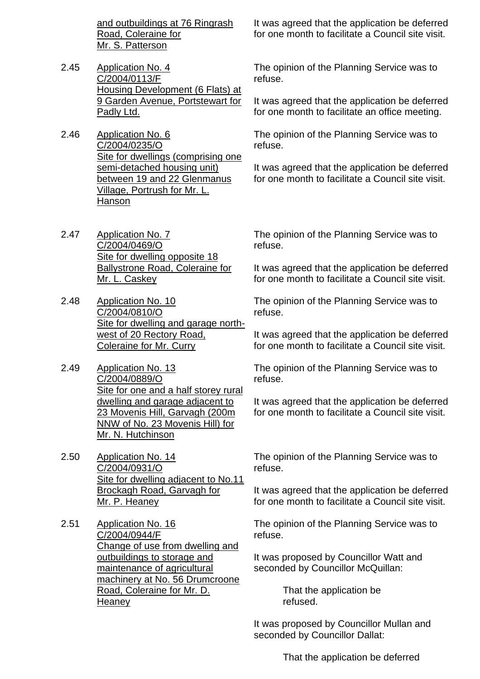and outbuildings at 76 Ringrash Road, Coleraine for Mr. S. Patterson

- 2.45 Application No. 4 C/2004/0113/F Housing Development (6 Flats) at 9 Garden Avenue, Portstewart for Padly Ltd.
- 2.46 Application No. 6 C/2004/0235/O Site for dwellings (comprising one semi-detached housing unit) between 19 and 22 Glenmanus Village, Portrush for Mr. L. Hanson
- 2.47 Application No. 7 C/2004/0469/O Site for dwelling opposite 18 Ballystrone Road, Coleraine for Mr. L. Caskey
- 2.48 Application No. 10 C/2004/0810/O Site for dwelling and garage northwest of 20 Rectory Road, Coleraine for Mr. Curry
- 2.49 Application No. 13 C/2004/0889/O Site for one and a half storey rural dwelling and garage adjacent to 23 Movenis Hill, Garvagh (200m NNW of No. 23 Movenis Hill) for Mr. N. Hutchinson
- 2.50 Application No. 14 C/2004/0931/O Site for dwelling adjacent to No.11 Brockagh Road, Garvagh for Mr. P. Heaney
- 2.51 Application No. 16 C/2004/0944/F Change of use from dwelling and outbuildings to storage and maintenance of agricultural machinery at No. 56 Drumcroone Road, Coleraine for Mr. D. **Heaney**

It was agreed that the application be deferred for one month to facilitate a Council site visit.

The opinion of the Planning Service was to refuse.

It was agreed that the application be deferred for one month to facilitate an office meeting.

The opinion of the Planning Service was to refuse.

It was agreed that the application be deferred for one month to facilitate a Council site visit.

The opinion of the Planning Service was to refuse.

It was agreed that the application be deferred for one month to facilitate a Council site visit.

The opinion of the Planning Service was to refuse.

It was agreed that the application be deferred for one month to facilitate a Council site visit.

The opinion of the Planning Service was to refuse.

It was agreed that the application be deferred for one month to facilitate a Council site visit.

The opinion of the Planning Service was to refuse.

It was agreed that the application be deferred for one month to facilitate a Council site visit.

The opinion of the Planning Service was to refuse.

It was proposed by Councillor Watt and seconded by Councillor McQuillan:

> That the application be refused.

It was proposed by Councillor Mullan and seconded by Councillor Dallat:

That the application be deferred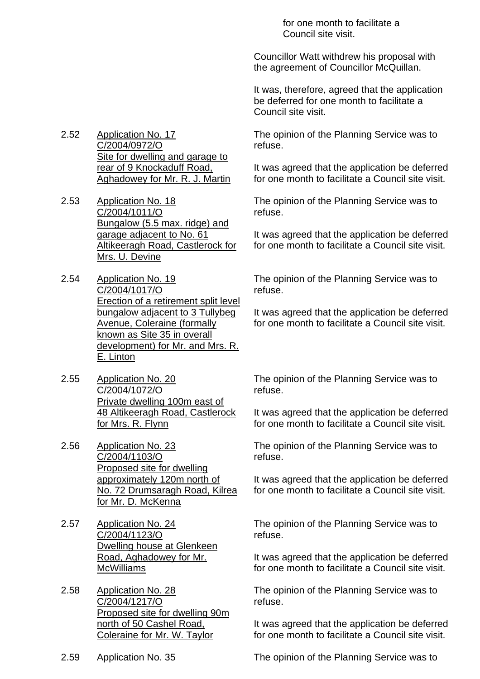for one month to facilitate a Council site visit.

Councillor Watt withdrew his proposal with the agreement of Councillor McQuillan.

It was, therefore, agreed that the application be deferred for one month to facilitate a Council site visit.

The opinion of the Planning Service was to refuse.

It was agreed that the application be deferred for one month to facilitate a Council site visit.

The opinion of the Planning Service was to refuse.

It was agreed that the application be deferred for one month to facilitate a Council site visit.

The opinion of the Planning Service was to refuse.

It was agreed that the application be deferred for one month to facilitate a Council site visit.

The opinion of the Planning Service was to refuse.

It was agreed that the application be deferred for one month to facilitate a Council site visit.

The opinion of the Planning Service was to refuse.

It was agreed that the application be deferred for one month to facilitate a Council site visit.

The opinion of the Planning Service was to refuse.

It was agreed that the application be deferred for one month to facilitate a Council site visit.

The opinion of the Planning Service was to refuse.

It was agreed that the application be deferred for one month to facilitate a Council site visit.

2.59 Application No. 35 The opinion of the Planning Service was to

2.52 Application No. 17 C/2004/0972/O Site for dwelling and garage to rear of 9 Knockaduff Road, Aghadowey for Mr. R. J. Martin

2.53 Application No. 18 C/2004/1011/O Bungalow (5.5 max. ridge) and garage adjacent to No. 61 Altikeeragh Road, Castlerock for Mrs. U. Devine

2.54 Application No. 19 C/2004/1017/O Erection of a retirement split level bungalow adjacent to 3 Tullybeg Avenue, Coleraine (formally known as Site 35 in overall development) for Mr. and Mrs. R. E. Linton

2.55 Application No. 20 C/2004/1072/O Private dwelling 100m east of 48 Altikeeragh Road, Castlerock for Mrs. R. Flynn

2.56 Application No. 23 C/2004/1103/O Proposed site for dwelling approximately 120m north of No. 72 Drumsaragh Road, Kilrea for Mr. D. McKenna

2.57 Application No. 24 C/2004/1123/O Dwelling house at Glenkeen Road, Aghadowey for Mr. **McWilliams** 

2.58 Application No. 28 C/2004/1217/O Proposed site for dwelling 90m north of 50 Cashel Road, Coleraine for Mr. W. Taylor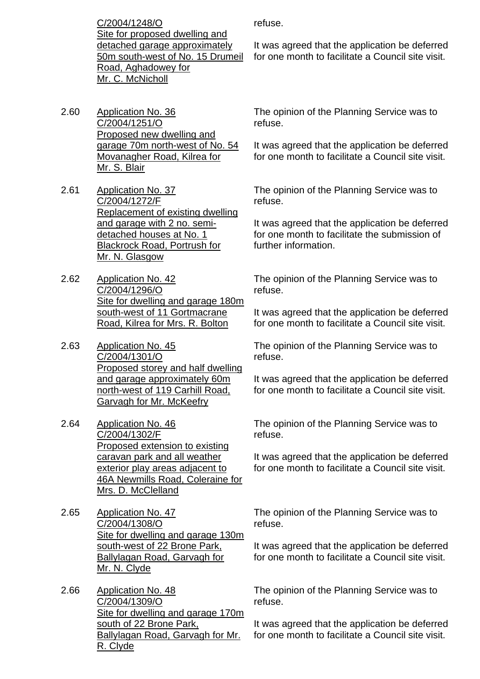C/2004/1248/O Site for proposed dwelling and detached garage approximately 50m south-west of No. 15 Drumeil Road, Aghadowey for Mr. C. McNicholl

- 2.60 Application No. 36 C/2004/1251/O Proposed new dwelling and garage 70m north-west of No. 54 Movanagher Road, Kilrea for Mr. S. Blair
- 2.61 Application No. 37 C/2004/1272/F Replacement of existing dwelling and garage with 2 no. semidetached houses at No. 1 Blackrock Road, Portrush for Mr. N. Glasgow
- 2.62 Application No. 42 C/2004/1296/O Site for dwelling and garage 180m south-west of 11 Gortmacrane Road, Kilrea for Mrs. R. Bolton
- 2.63 Application No. 45 C/2004/1301/O Proposed storey and half dwelling and garage approximately 60m north-west of 119 Carhill Road, Garvagh for Mr. McKeefry
- 2.64 Application No. 46 C/2004/1302/F Proposed extension to existing caravan park and all weather exterior play areas adjacent to 46A Newmills Road, Coleraine for Mrs. D. McClelland
- 2.65 Application No. 47 C/2004/1308/O Site for dwelling and garage 130m south-west of 22 Brone Park, Ballylagan Road, Garvagh for Mr. N. Clyde
- 2.66 Application No. 48 C/2004/1309/O Site for dwelling and garage 170m south of 22 Brone Park, Ballylagan Road, Garvagh for Mr. R. Clyde

refuse.

It was agreed that the application be deferred for one month to facilitate a Council site visit.

The opinion of the Planning Service was to refuse.

It was agreed that the application be deferred for one month to facilitate a Council site visit.

The opinion of the Planning Service was to refuse.

It was agreed that the application be deferred for one month to facilitate the submission of further information.

The opinion of the Planning Service was to refuse.

It was agreed that the application be deferred for one month to facilitate a Council site visit.

The opinion of the Planning Service was to refuse.

It was agreed that the application be deferred for one month to facilitate a Council site visit.

The opinion of the Planning Service was to refuse.

It was agreed that the application be deferred for one month to facilitate a Council site visit.

The opinion of the Planning Service was to refuse.

It was agreed that the application be deferred for one month to facilitate a Council site visit.

The opinion of the Planning Service was to refuse.

It was agreed that the application be deferred for one month to facilitate a Council site visit.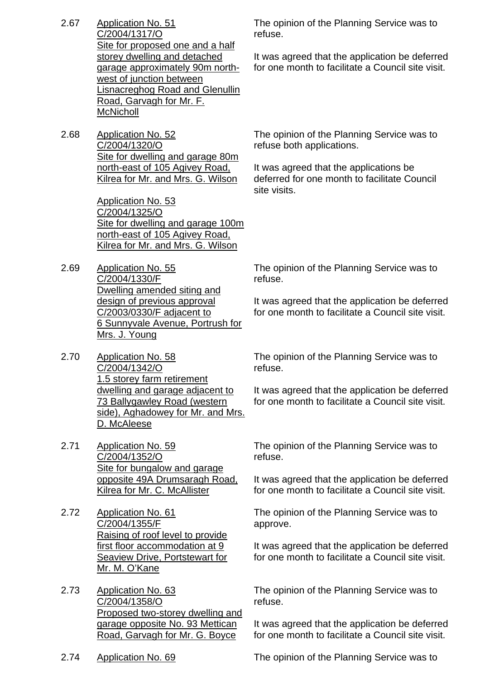- 2.67 Application No. 51 C/2004/1317/O Site for proposed one and a half storey dwelling and detached garage approximately 90m northwest of junction between Lisnacreghog Road and Glenullin Road, Garvagh for Mr. F. **McNicholl**
- 2.68 Application No. 52 C/2004/1320/O Site for dwelling and garage 80m north-east of 105 Agivey Road, Kilrea for Mr. and Mrs. G. Wilson

Application No. 53 C/2004/1325/O Site for dwelling and garage 100m north-east of 105 Agivey Road, Kilrea for Mr. and Mrs. G. Wilson

- 2.69 Application No. 55 C/2004/1330/F Dwelling amended siting and design of previous approval C/2003/0330/F adjacent to 6 Sunnyvale Avenue, Portrush for Mrs. J. Young
- 2.70 Application No. 58 C/2004/1342/O 1.5 storey farm retirement dwelling and garage adjacent to 73 Ballygawley Road (western side), Aghadowey for Mr. and Mrs. D. McAleese
- 2.71 Application No. 59 C/2004/1352/O Site for bungalow and garage opposite 49A Drumsaragh Road, Kilrea for Mr. C. McAllister
- 2.72 Application No. 61 C/2004/1355/F Raising of roof level to provide first floor accommodation at 9 Seaview Drive, Portstewart for Mr. M. O'Kane
- 2.73 Application No. 63 C/2004/1358/O Proposed two-storey dwelling and garage opposite No. 93 Mettican Road, Garvagh for Mr. G. Boyce

The opinion of the Planning Service was to refuse.

It was agreed that the application be deferred for one month to facilitate a Council site visit.

The opinion of the Planning Service was to refuse both applications.

It was agreed that the applications be deferred for one month to facilitate Council site visits.

The opinion of the Planning Service was to refuse.

It was agreed that the application be deferred for one month to facilitate a Council site visit.

The opinion of the Planning Service was to refuse.

It was agreed that the application be deferred for one month to facilitate a Council site visit.

The opinion of the Planning Service was to refuse.

It was agreed that the application be deferred for one month to facilitate a Council site visit.

The opinion of the Planning Service was to approve.

It was agreed that the application be deferred for one month to facilitate a Council site visit.

The opinion of the Planning Service was to refuse.

It was agreed that the application be deferred for one month to facilitate a Council site visit.

2.74 Application No. 69 The opinion of the Planning Service was to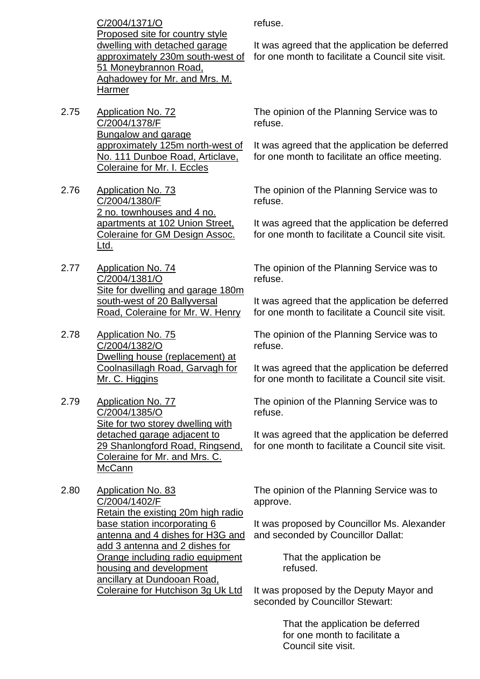C/2004/1371/O Proposed site for country style dwelling with detached garage approximately 230m south-west of 51 Moneybrannon Road, Aghadowey for Mr. and Mrs. M. Harmer

- 2.75 Application No. 72 C/2004/1378/F Bungalow and garage approximately 125m north-west of No. 111 Dunboe Road, Articlave, Coleraine for Mr. I. Eccles
- 2.76 Application No. 73 C/2004/1380/F 2 no. townhouses and 4 no. apartments at 102 Union Street, Coleraine for GM Design Assoc. Ltd.
- 2.77 Application No. 74 C/2004/1381/O Site for dwelling and garage 180m south-west of 20 Ballyversal Road, Coleraine for Mr. W. Henry
- 2.78 Application No. 75 C/2004/1382/O Dwelling house (replacement) at Coolnasillagh Road, Garvagh for Mr. C. Higgins
- 2.79 Application No. 77 C/2004/1385/O Site for two storey dwelling with detached garage adjacent to 29 Shanlongford Road, Ringsend, Coleraine for Mr. and Mrs. C. McCann
- 2.80 Application No. 83 C/2004/1402/F Retain the existing 20m high radio base station incorporating 6 antenna and 4 dishes for H3G and add 3 antenna and 2 dishes for Orange including radio equipment housing and development ancillary at Dundooan Road, Coleraine for Hutchison 3g Uk Ltd

refuse.

It was agreed that the application be deferred for one month to facilitate a Council site visit.

The opinion of the Planning Service was to refuse.

It was agreed that the application be deferred for one month to facilitate an office meeting.

The opinion of the Planning Service was to refuse.

It was agreed that the application be deferred for one month to facilitate a Council site visit.

The opinion of the Planning Service was to refuse.

It was agreed that the application be deferred for one month to facilitate a Council site visit.

The opinion of the Planning Service was to refuse.

It was agreed that the application be deferred for one month to facilitate a Council site visit.

The opinion of the Planning Service was to refuse.

It was agreed that the application be deferred for one month to facilitate a Council site visit.

The opinion of the Planning Service was to approve.

It was proposed by Councillor Ms. Alexander and seconded by Councillor Dallat:

> That the application be refused.

It was proposed by the Deputy Mayor and seconded by Councillor Stewart:

> That the application be deferred for one month to facilitate a Council site visit.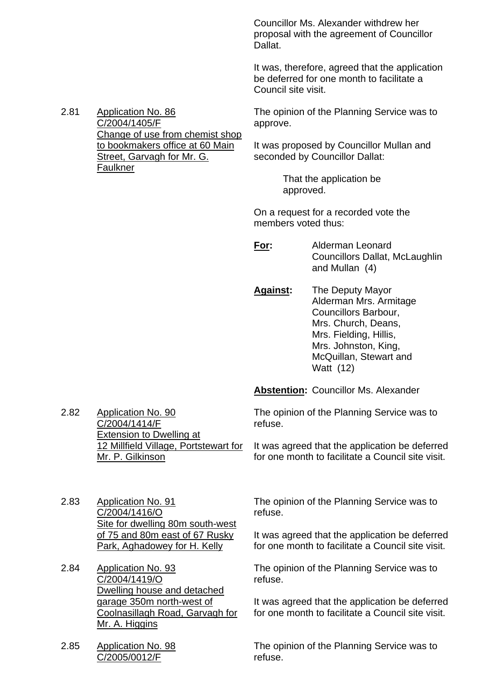Councillor Ms. Alexander withdrew her proposal with the agreement of Councillor Dallat.

It was, therefore, agreed that the application be deferred for one month to facilitate a Council site visit.

2.81 Application No. 86 C/2004/1405/F Change of use from chemist shop to bookmakers office at 60 Main Street, Garvagh for Mr. G. **Faulkner** 

The opinion of the Planning Service was to approve.

It was proposed by Councillor Mullan and seconded by Councillor Dallat:

> That the application be approved.

On a request for a recorded vote the members voted thus:

**For:** Alderman Leonard Councillors Dallat, McLaughlin and Mullan (4)

**Against:** The Deputy Mayor Alderman Mrs. Armitage Councillors Barbour, Mrs. Church, Deans, Mrs. Fielding, Hillis, Mrs. Johnston, King, McQuillan, Stewart and Watt (12)

**Abstention:** Councillor Ms. Alexander

The opinion of the Planning Service was to refuse.

It was agreed that the application be deferred for one month to facilitate a Council site visit.

2.83 Application No. 91 C/2004/1416/O Site for dwelling 80m south-west of 75 and 80m east of 67 Rusky

Park, Aghadowey for H. Kelly

Extension to Dwelling at

Mr. P. Gilkinson

12 Millfield Village, Portstewart for

2.84 Application No. 93 C/2004/1419/O Dwelling house and detached garage 350m north-west of Coolnasillagh Road, Garvagh for Mr. A. Higgins

2.85 Application No. 98 C/2005/0012/F

2.82 Application No. 90 C/2004/1414/F

> The opinion of the Planning Service was to refuse.

It was agreed that the application be deferred for one month to facilitate a Council site visit.

The opinion of the Planning Service was to refuse.

It was agreed that the application be deferred for one month to facilitate a Council site visit.

The opinion of the Planning Service was to refuse.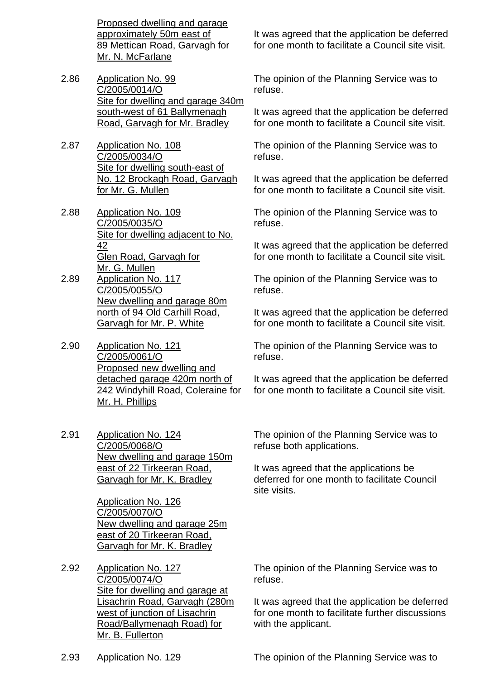Proposed dwelling and garage approximately 50m east of 89 Mettican Road, Garvagh for Mr. N. McFarlane

- 2.86 Application No. 99 C/2005/0014/O Site for dwelling and garage 340m south-west of 61 Ballymenagh Road, Garvagh for Mr. Bradley
- 2.87 Application No. 108 C/2005/0034/O Site for dwelling south-east of No. 12 Brockagh Road, Garvagh for Mr. G. Mullen
- 2.88 Application No. 109 C/2005/0035/O Site for dwelling adjacent to No. 42 Glen Road, Garvagh for Mr. G. Mullen
- 2.89 Application No. 117 C/2005/0055/O New dwelling and garage 80m north of 94 Old Carhill Road, Garvagh for Mr. P. White
- 2.90 Application No. 121 C/2005/0061/O Proposed new dwelling and detached garage 420m north of 242 Windyhill Road, Coleraine for Mr. H. Phillips
- 2.91 Application No. 124 C/2005/0068/O New dwelling and garage 150m east of 22 Tirkeeran Road, Garvagh for Mr. K. Bradley

Application No. 126 C/2005/0070/O New dwelling and garage 25m east of 20 Tirkeeran Road, Garvagh for Mr. K. Bradley

2.92 Application No. 127 C/2005/0074/O Site for dwelling and garage at Lisachrin Road, Garvagh (280m west of junction of Lisachrin Road/Ballymenagh Road) for Mr. B. Fullerton

It was agreed that the application be deferred for one month to facilitate a Council site visit.

The opinion of the Planning Service was to refuse.

It was agreed that the application be deferred for one month to facilitate a Council site visit.

The opinion of the Planning Service was to refuse.

It was agreed that the application be deferred for one month to facilitate a Council site visit.

The opinion of the Planning Service was to refuse.

It was agreed that the application be deferred for one month to facilitate a Council site visit.

The opinion of the Planning Service was to refuse.

It was agreed that the application be deferred for one month to facilitate a Council site visit.

The opinion of the Planning Service was to refuse.

It was agreed that the application be deferred for one month to facilitate a Council site visit.

The opinion of the Planning Service was to refuse both applications.

It was agreed that the applications be deferred for one month to facilitate Council site visits.

The opinion of the Planning Service was to refuse.

It was agreed that the application be deferred for one month to facilitate further discussions with the applicant.

2.93 Application No. 129 The opinion of the Planning Service was to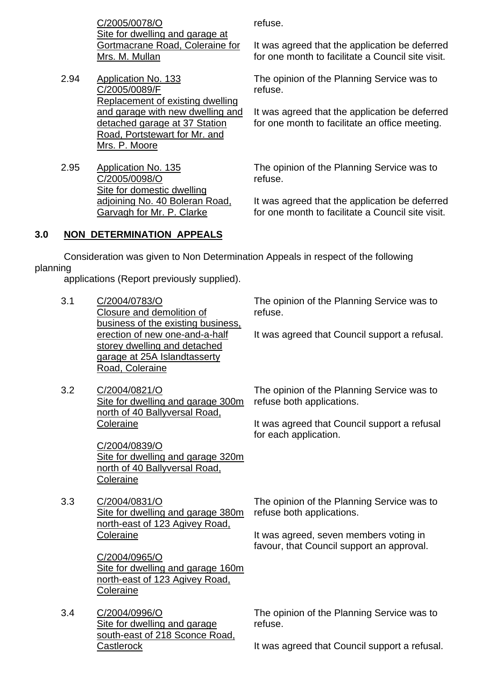C/2005/0078/O Site for dwelling and garage at Gortmacrane Road, Coleraine for Mrs. M. Mullan

- 2.94 Application No. 133 C/2005/0089/F Replacement of existing dwelling and garage with new dwelling and detached garage at 37 Station Road, Portstewart for Mr. and Mrs. P. Moore
- 2.95 Application No. 135 C/2005/0098/O Site for domestic dwelling adjoining No. 40 Boleran Road, Garvagh for Mr. P. Clarke

refuse.

It was agreed that the application be deferred for one month to facilitate a Council site visit.

The opinion of the Planning Service was to refuse.

It was agreed that the application be deferred for one month to facilitate an office meeting.

The opinion of the Planning Service was to refuse.

It was agreed that the application be deferred for one month to facilitate a Council site visit.

# **3.0 NON DETERMINATION APPEALS**

 Consideration was given to Non Determination Appeals in respect of the following planning

applications (Report previously supplied).

- 3.1 C/2004/0783/O Closure and demolition of business of the existing business, erection of new one-and-a-half storey dwelling and detached garage at 25A Islandtasserty Road, Coleraine
- 3.2 C/2004/0821/O Site for dwelling and garage 300m north of 40 Ballyversal Road, **Coleraine**

C/2004/0839/O Site for dwelling and garage 320m north of 40 Ballyversal Road, **Coleraine** 

3.3 C/2004/0831/O Site for dwelling and garage 380m north-east of 123 Agivey Road, Coleraine

> C/2004/0965/O Site for dwelling and garage 160m north-east of 123 Agivey Road, **Coleraine**

3.4 C/2004/0996/O Site for dwelling and garage south-east of 218 Sconce Road, **Castlerock** 

The opinion of the Planning Service was to refuse.

It was agreed that Council support a refusal.

The opinion of the Planning Service was to refuse both applications.

It was agreed that Council support a refusal for each application.

The opinion of the Planning Service was to refuse both applications.

It was agreed, seven members voting in favour, that Council support an approval.

The opinion of the Planning Service was to refuse.

It was agreed that Council support a refusal.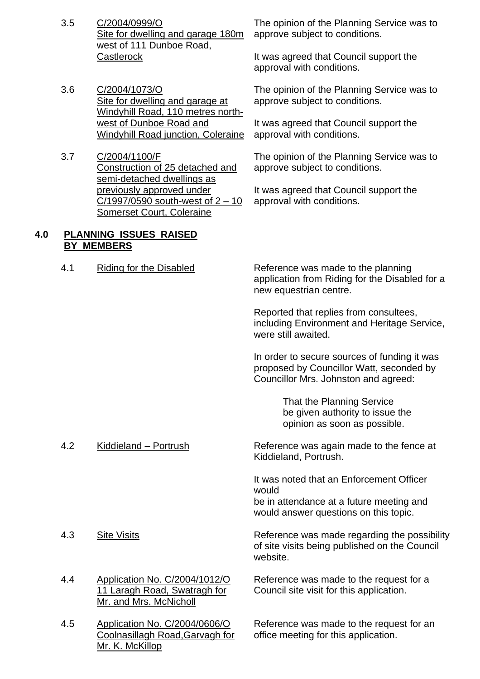- 3.5 C/2004/0999/O Site for dwelling and garage 180m west of 111 Dunboe Road. **Castlerock**
- 3.6 C/2004/1073/O Site for dwelling and garage at Windyhill Road, 110 metres northwest of Dunboe Road and Windyhill Road junction, Coleraine
- 3.7 C/2004/1100/F Construction of 25 detached and semi-detached dwellings as previously approved under  $C/1997/0590$  south-west of  $2 - 10$ Somerset Court, Coleraine

## **4.0 PLANNING ISSUES RAISED BY MEMBERS**

The opinion of the Planning Service was to approve subject to conditions.

It was agreed that Council support the approval with conditions.

The opinion of the Planning Service was to approve subject to conditions.

It was agreed that Council support the approval with conditions.

The opinion of the Planning Service was to approve subject to conditions.

It was agreed that Council support the approval with conditions.

4.1 Riding for the Disabled Reference was made to the planning application from Riding for the Disabled for a new equestrian centre.

> Reported that replies from consultees, including Environment and Heritage Service, were still awaited.

In order to secure sources of funding it was proposed by Councillor Watt, seconded by Councillor Mrs. Johnston and agreed:

> That the Planning Service be given authority to issue the opinion as soon as possible.

4.2 Kiddieland – Portrush Reference was again made to the fence at Kiddieland, Portrush.

> It was noted that an Enforcement Officer would

be in attendance at a future meeting and would answer questions on this topic.

4.3 Site Visits **Sharehold Exercise Reference was made regarding the possibility** of site visits being published on the Council website.

> Reference was made to the request for a Council site visit for this application.

Reference was made to the request for an office meeting for this application.

- 
- 4.4 Application No. C/2004/1012/O 11 Laragh Road, Swatragh for Mr. and Mrs. McNicholl
- 4.5 Application No. C/2004/0606/O Coolnasillagh Road,Garvagh for Mr. K. McKillop